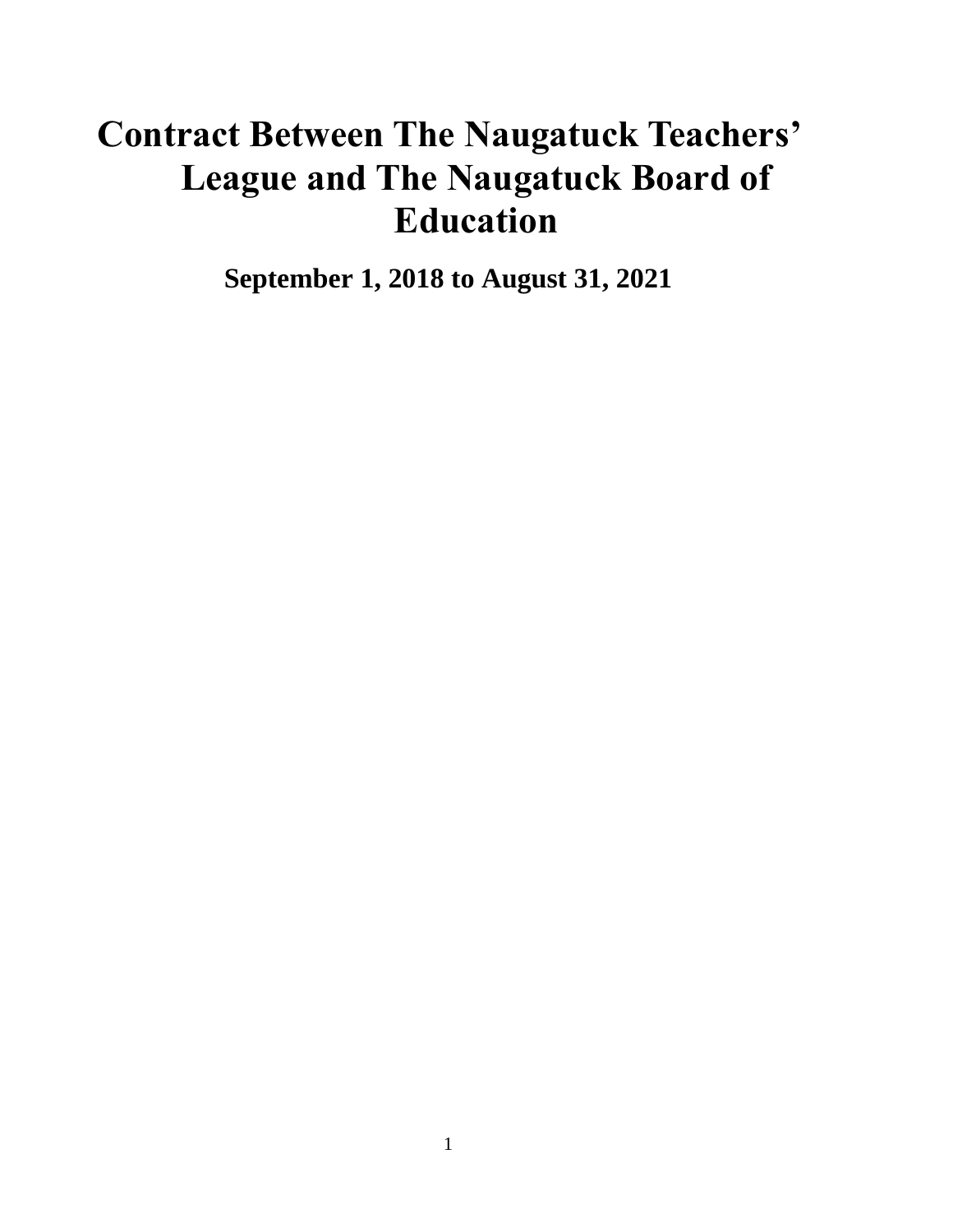# <span id="page-0-0"></span>**Contract Between The Naugatuck Teachers' League and The Naugatuck Board of Education**

**September 1, 2018 to August 31, 2021**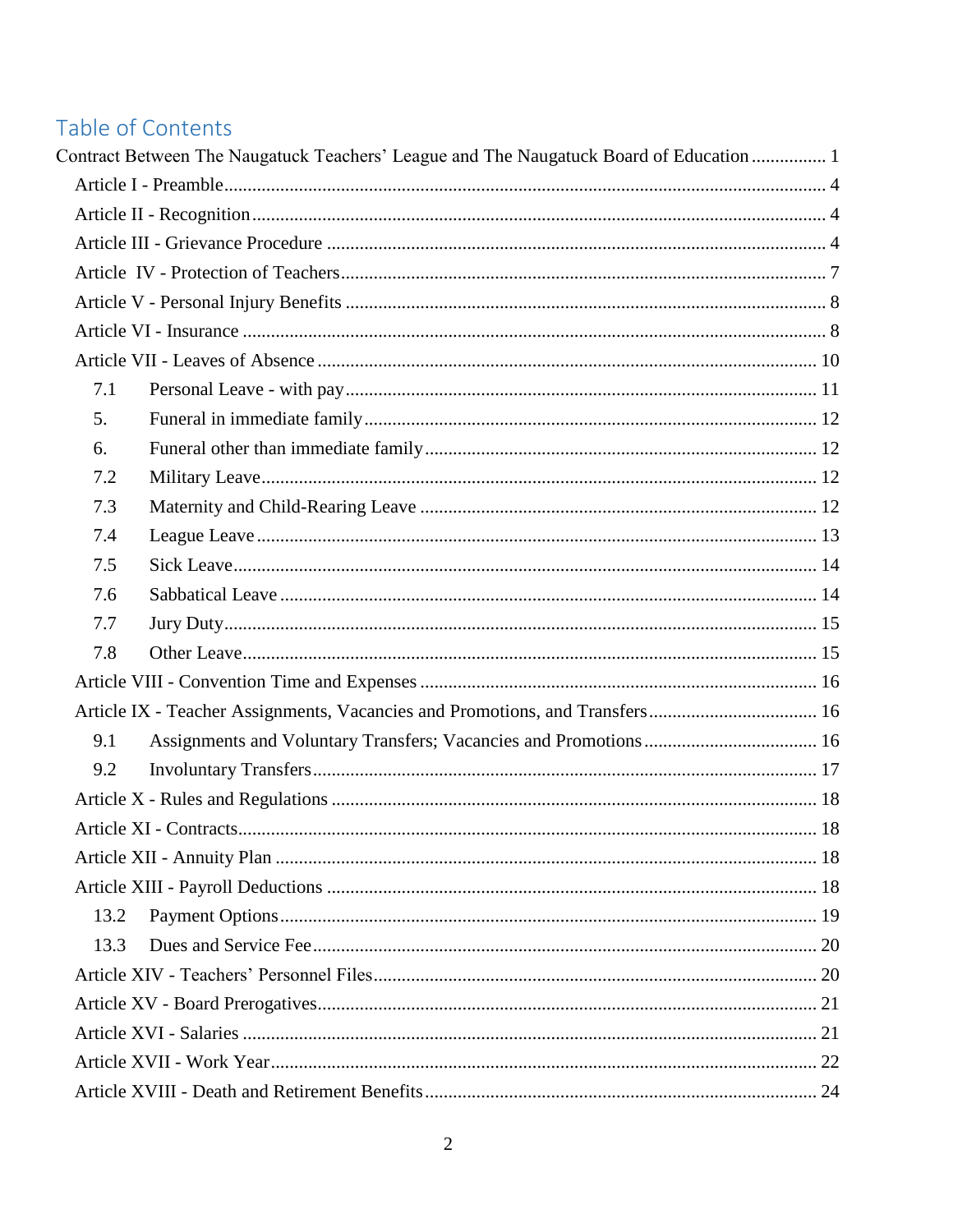## Table of Contents

|      | Contract Between The Naugatuck Teachers' League and The Naugatuck Board of Education  1 |  |
|------|-----------------------------------------------------------------------------------------|--|
|      |                                                                                         |  |
|      |                                                                                         |  |
|      |                                                                                         |  |
|      |                                                                                         |  |
|      |                                                                                         |  |
|      |                                                                                         |  |
|      |                                                                                         |  |
| 7.1  |                                                                                         |  |
| 5.   |                                                                                         |  |
| 6.   |                                                                                         |  |
| 7.2  |                                                                                         |  |
| 7.3  |                                                                                         |  |
| 7.4  |                                                                                         |  |
| 7.5  |                                                                                         |  |
| 7.6  |                                                                                         |  |
| 7.7  |                                                                                         |  |
| 7.8  |                                                                                         |  |
|      |                                                                                         |  |
|      | Article IX - Teacher Assignments, Vacancies and Promotions, and Transfers 16            |  |
| 9.1  |                                                                                         |  |
| 9.2  |                                                                                         |  |
|      |                                                                                         |  |
|      |                                                                                         |  |
|      |                                                                                         |  |
|      |                                                                                         |  |
| 13.2 |                                                                                         |  |
| 13.3 |                                                                                         |  |
|      |                                                                                         |  |
|      |                                                                                         |  |
|      |                                                                                         |  |
|      |                                                                                         |  |
|      |                                                                                         |  |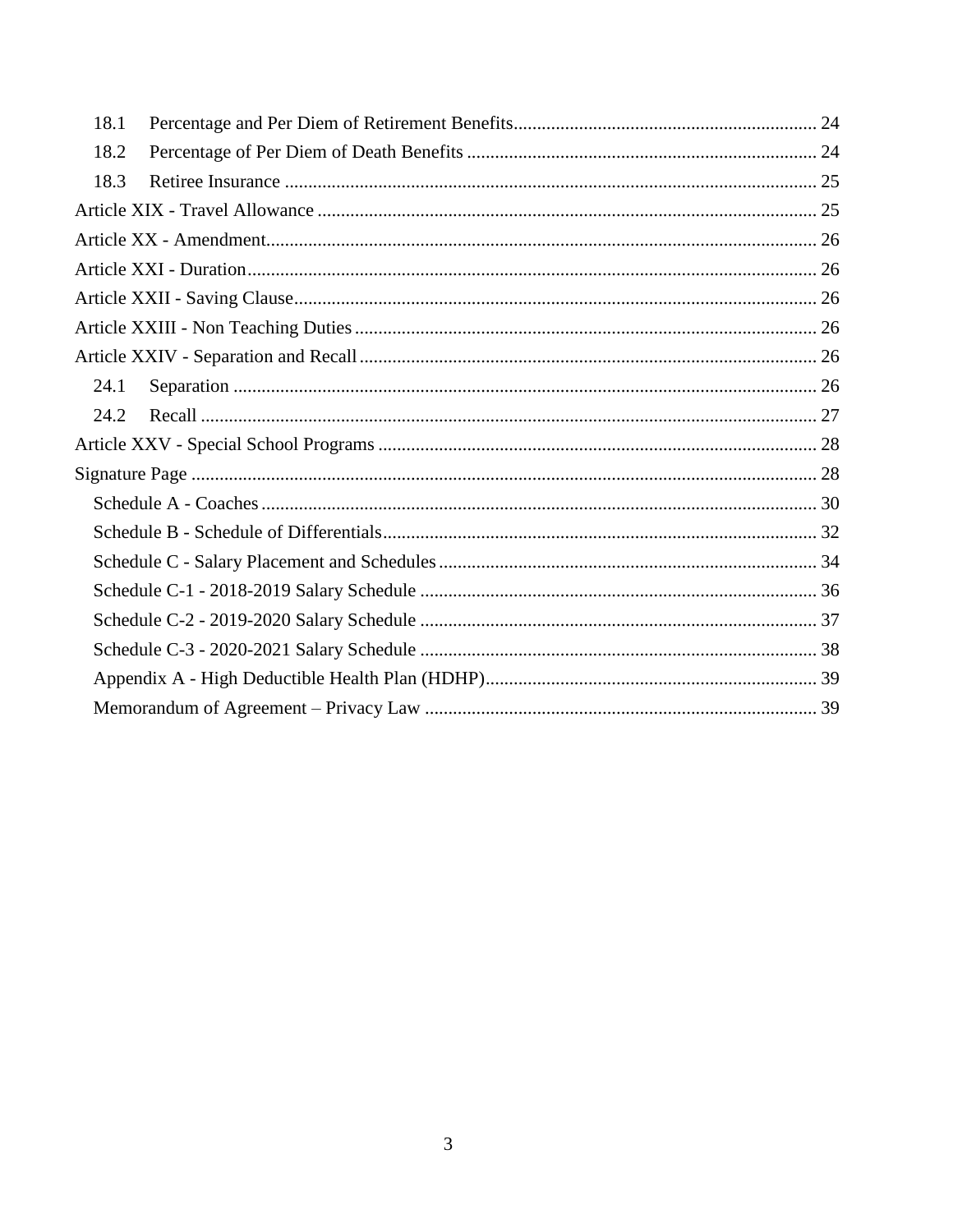| 18.1 |
|------|
| 18.2 |
| 18.3 |
|      |
|      |
|      |
|      |
|      |
|      |
| 24.1 |
| 24.2 |
|      |
|      |
|      |
|      |
|      |
|      |
|      |
|      |
|      |
|      |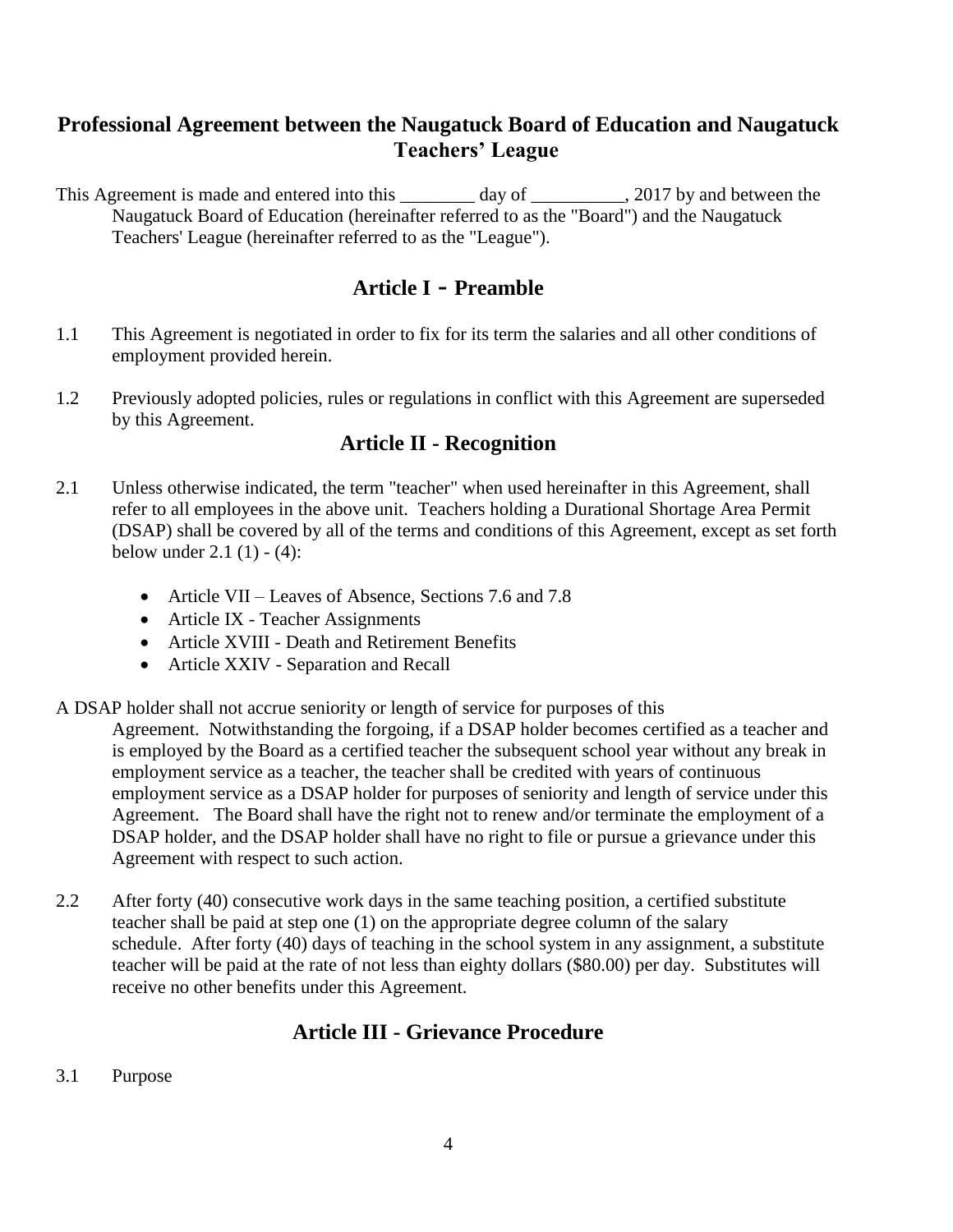### **Professional Agreement between the Naugatuck Board of Education and Naugatuck Teachers' League**

This Agreement is made and entered into this \_\_\_\_\_\_\_\_ day of \_\_\_\_\_\_\_\_, 2017 by and between the Naugatuck Board of Education (hereinafter referred to as the "Board") and the Naugatuck Teachers' League (hereinafter referred to as the "League").

### **Article I - Preamble**

- <span id="page-3-0"></span>1.1 This Agreement is negotiated in order to fix for its term the salaries and all other conditions of employment provided herein.
- <span id="page-3-1"></span>1.2 Previously adopted policies, rules or regulations in conflict with this Agreement are superseded by this Agreement.

### **Article II - Recognition**

- 2.1 Unless otherwise indicated, the term "teacher" when used hereinafter in this Agreement, shall refer to all employees in the above unit. Teachers holding a Durational Shortage Area Permit (DSAP) shall be covered by all of the terms and conditions of this Agreement, except as set forth below under  $2.1(1) - (4)$ :
	- Article VII Leaves of Absence, Sections 7.6 and 7.8
	- Article IX Teacher Assignments
	- Article XVIII Death and Retirement Benefits
	- Article XXIV Separation and Recall
- A DSAP holder shall not accrue seniority or length of service for purposes of this

Agreement. Notwithstanding the forgoing, if a DSAP holder becomes certified as a teacher and is employed by the Board as a certified teacher the subsequent school year without any break in employment service as a teacher, the teacher shall be credited with years of continuous employment service as a DSAP holder for purposes of seniority and length of service under this Agreement. The Board shall have the right not to renew and/or terminate the employment of a DSAP holder, and the DSAP holder shall have no right to file or pursue a grievance under this Agreement with respect to such action.

2.2 After forty (40) consecutive work days in the same teaching position, a certified substitute teacher shall be paid at step one (1) on the appropriate degree column of the salary schedule. After forty (40) days of teaching in the school system in any assignment, a substitute teacher will be paid at the rate of not less than eighty dollars (\$80.00) per day. Substitutes will receive no other benefits under this Agreement.

### **Article III - Grievance Procedure**

<span id="page-3-2"></span>3.1 Purpose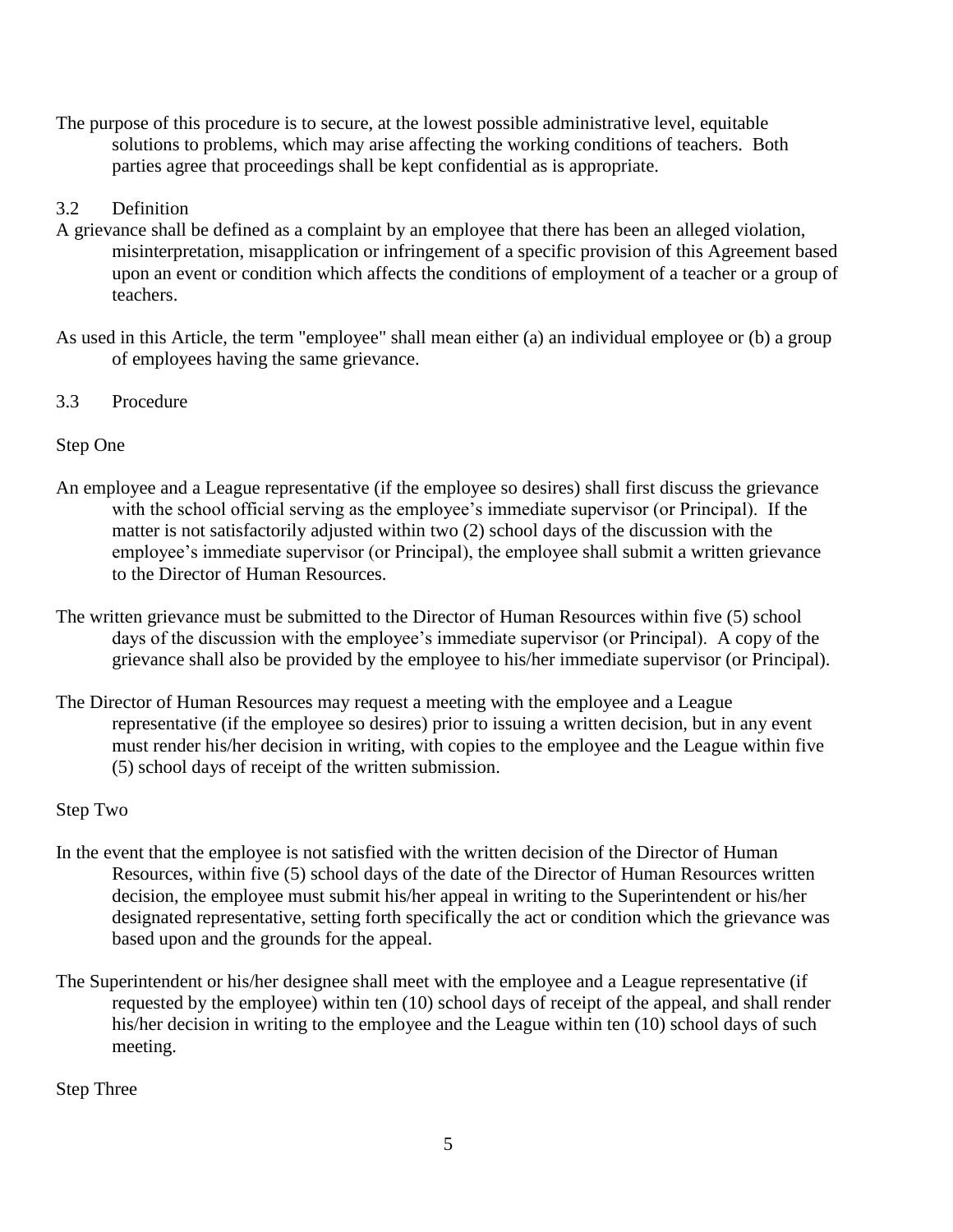The purpose of this procedure is to secure, at the lowest possible administrative level, equitable solutions to problems, which may arise affecting the working conditions of teachers. Both parties agree that proceedings shall be kept confidential as is appropriate.

#### 3.2 Definition

- A grievance shall be defined as a complaint by an employee that there has been an alleged violation, misinterpretation, misapplication or infringement of a specific provision of this Agreement based upon an event or condition which affects the conditions of employment of a teacher or a group of teachers.
- As used in this Article, the term "employee" shall mean either (a) an individual employee or (b) a group of employees having the same grievance.
- 3.3 Procedure

### Step One

- An employee and a League representative (if the employee so desires) shall first discuss the grievance with the school official serving as the employee's immediate supervisor (or Principal). If the matter is not satisfactorily adjusted within two (2) school days of the discussion with the employee's immediate supervisor (or Principal), the employee shall submit a written grievance to the Director of Human Resources.
- The written grievance must be submitted to the Director of Human Resources within five (5) school days of the discussion with the employee's immediate supervisor (or Principal). A copy of the grievance shall also be provided by the employee to his/her immediate supervisor (or Principal).
- The Director of Human Resources may request a meeting with the employee and a League representative (if the employee so desires) prior to issuing a written decision, but in any event must render his/her decision in writing, with copies to the employee and the League within five (5) school days of receipt of the written submission.

### Step Two

- In the event that the employee is not satisfied with the written decision of the Director of Human Resources, within five (5) school days of the date of the Director of Human Resources written decision, the employee must submit his/her appeal in writing to the Superintendent or his/her designated representative, setting forth specifically the act or condition which the grievance was based upon and the grounds for the appeal.
- The Superintendent or his/her designee shall meet with the employee and a League representative (if requested by the employee) within ten (10) school days of receipt of the appeal, and shall render his/her decision in writing to the employee and the League within ten (10) school days of such meeting.

Step Three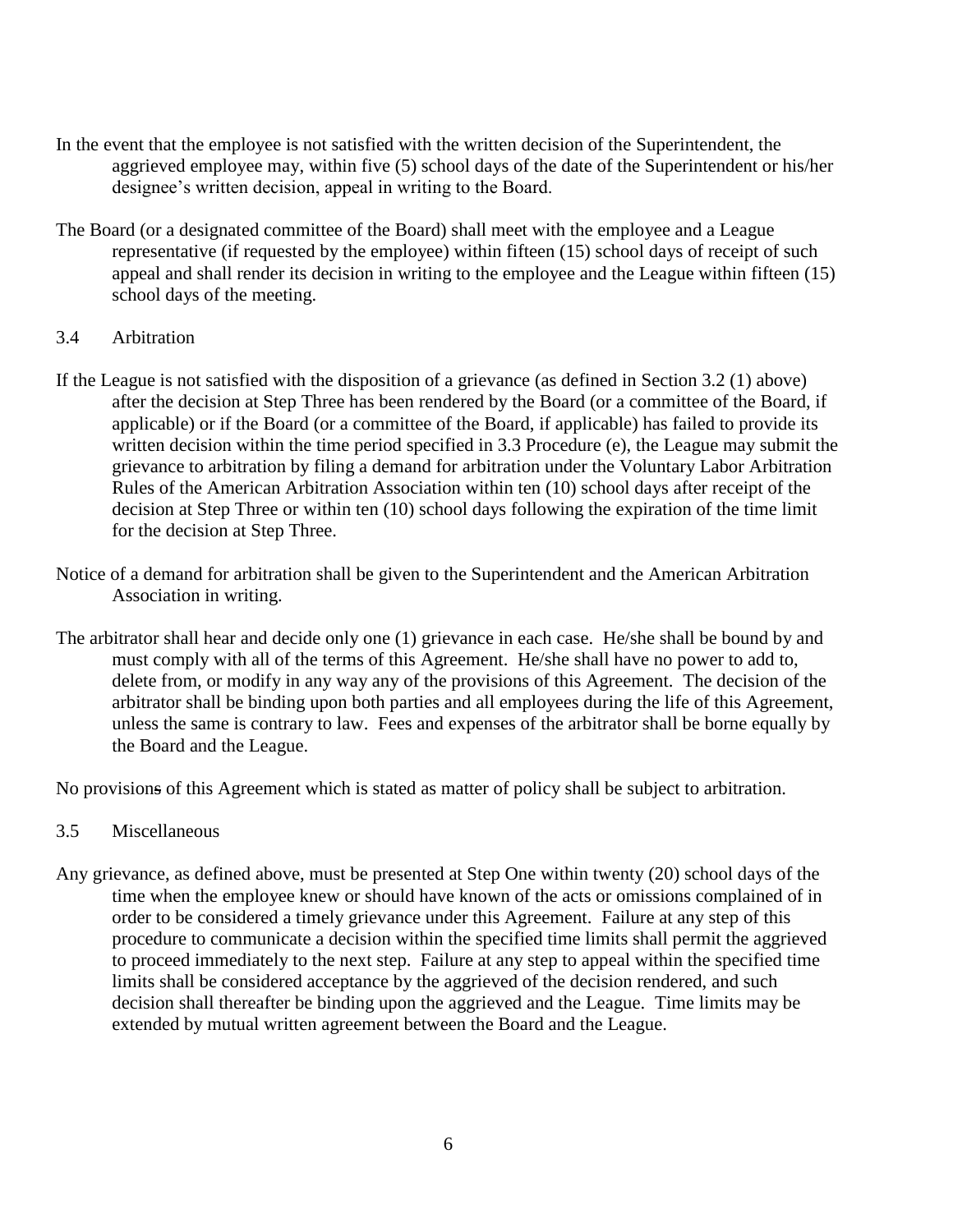- In the event that the employee is not satisfied with the written decision of the Superintendent, the aggrieved employee may, within five (5) school days of the date of the Superintendent or his/her designee's written decision, appeal in writing to the Board.
- The Board (or a designated committee of the Board) shall meet with the employee and a League representative (if requested by the employee) within fifteen (15) school days of receipt of such appeal and shall render its decision in writing to the employee and the League within fifteen (15) school days of the meeting.

#### 3.4 Arbitration

- If the League is not satisfied with the disposition of a grievance (as defined in Section 3.2 (1) above) after the decision at Step Three has been rendered by the Board (or a committee of the Board, if applicable) or if the Board (or a committee of the Board, if applicable) has failed to provide its written decision within the time period specified in 3.3 Procedure (e), the League may submit the grievance to arbitration by filing a demand for arbitration under the Voluntary Labor Arbitration Rules of the American Arbitration Association within ten (10) school days after receipt of the decision at Step Three or within ten (10) school days following the expiration of the time limit for the decision at Step Three.
- Notice of a demand for arbitration shall be given to the Superintendent and the American Arbitration Association in writing.
- The arbitrator shall hear and decide only one (1) grievance in each case. He/she shall be bound by and must comply with all of the terms of this Agreement. He/she shall have no power to add to, delete from, or modify in any way any of the provisions of this Agreement. The decision of the arbitrator shall be binding upon both parties and all employees during the life of this Agreement, unless the same is contrary to law. Fees and expenses of the arbitrator shall be borne equally by the Board and the League.

No provisions of this Agreement which is stated as matter of policy shall be subject to arbitration.

- 3.5 Miscellaneous
- Any grievance, as defined above, must be presented at Step One within twenty (20) school days of the time when the employee knew or should have known of the acts or omissions complained of in order to be considered a timely grievance under this Agreement. Failure at any step of this procedure to communicate a decision within the specified time limits shall permit the aggrieved to proceed immediately to the next step. Failure at any step to appeal within the specified time limits shall be considered acceptance by the aggrieved of the decision rendered, and such decision shall thereafter be binding upon the aggrieved and the League. Time limits may be extended by mutual written agreement between the Board and the League.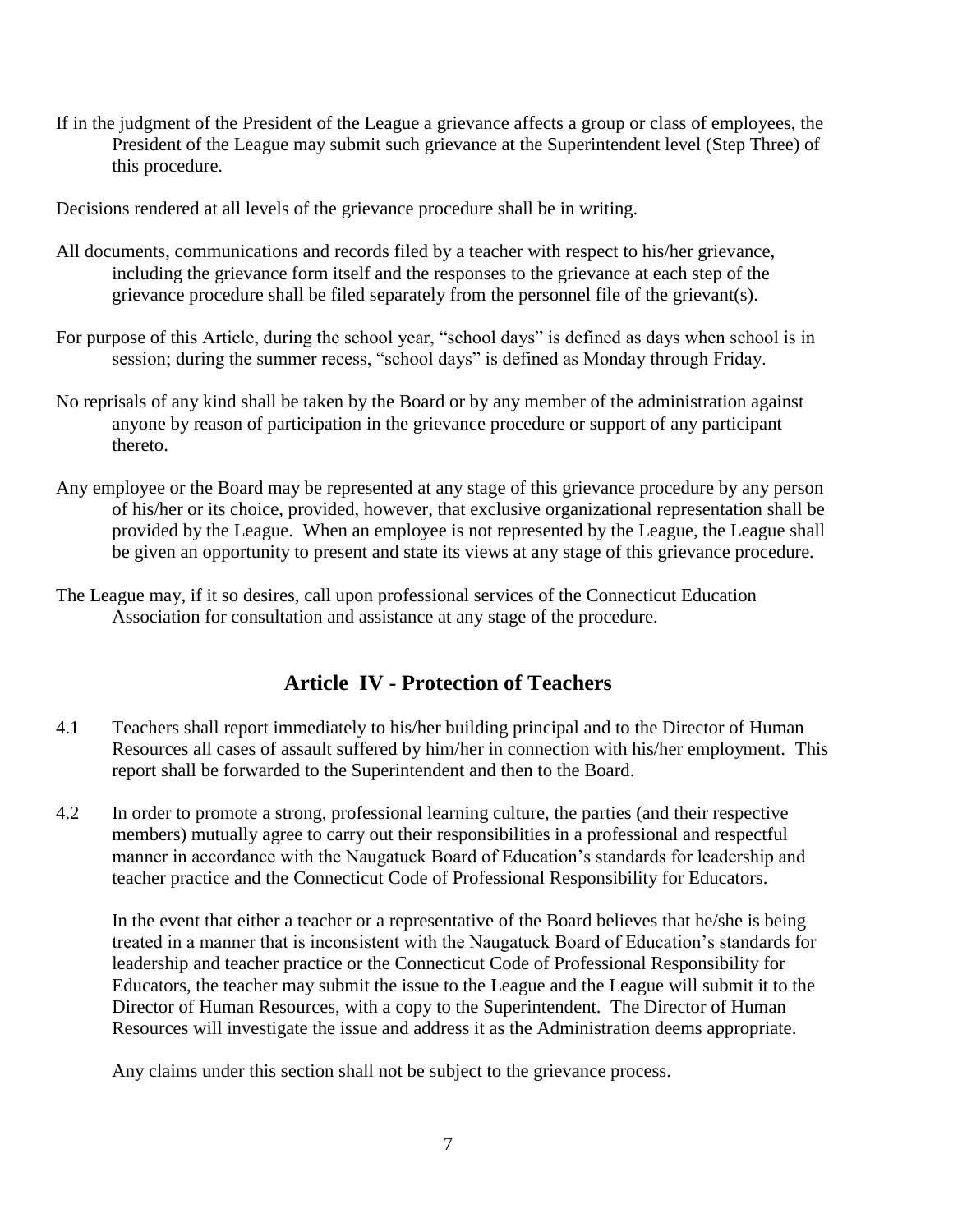If in the judgment of the President of the League a grievance affects a group or class of employees, the President of the League may submit such grievance at the Superintendent level (Step Three) of this procedure.

Decisions rendered at all levels of the grievance procedure shall be in writing.

- All documents, communications and records filed by a teacher with respect to his/her grievance, including the grievance form itself and the responses to the grievance at each step of the grievance procedure shall be filed separately from the personnel file of the grievant(s).
- For purpose of this Article, during the school year, "school days" is defined as days when school is in session; during the summer recess, "school days" is defined as Monday through Friday.
- No reprisals of any kind shall be taken by the Board or by any member of the administration against anyone by reason of participation in the grievance procedure or support of any participant thereto.
- Any employee or the Board may be represented at any stage of this grievance procedure by any person of his/her or its choice, provided, however, that exclusive organizational representation shall be provided by the League. When an employee is not represented by the League, the League shall be given an opportunity to present and state its views at any stage of this grievance procedure.
- The League may, if it so desires, call upon professional services of the Connecticut Education Association for consultation and assistance at any stage of the procedure.

### **Article IV - Protection of Teachers**

- <span id="page-6-0"></span>4.1 Teachers shall report immediately to his/her building principal and to the Director of Human Resources all cases of assault suffered by him/her in connection with his/her employment. This report shall be forwarded to the Superintendent and then to the Board.
- 4.2 In order to promote a strong, professional learning culture, the parties (and their respective members) mutually agree to carry out their responsibilities in a professional and respectful manner in accordance with the Naugatuck Board of Education's standards for leadership and teacher practice and the Connecticut Code of Professional Responsibility for Educators.

In the event that either a teacher or a representative of the Board believes that he/she is being treated in a manner that is inconsistent with the Naugatuck Board of Education's standards for leadership and teacher practice or the Connecticut Code of Professional Responsibility for Educators, the teacher may submit the issue to the League and the League will submit it to the Director of Human Resources, with a copy to the Superintendent. The Director of Human Resources will investigate the issue and address it as the Administration deems appropriate.

Any claims under this section shall not be subject to the grievance process.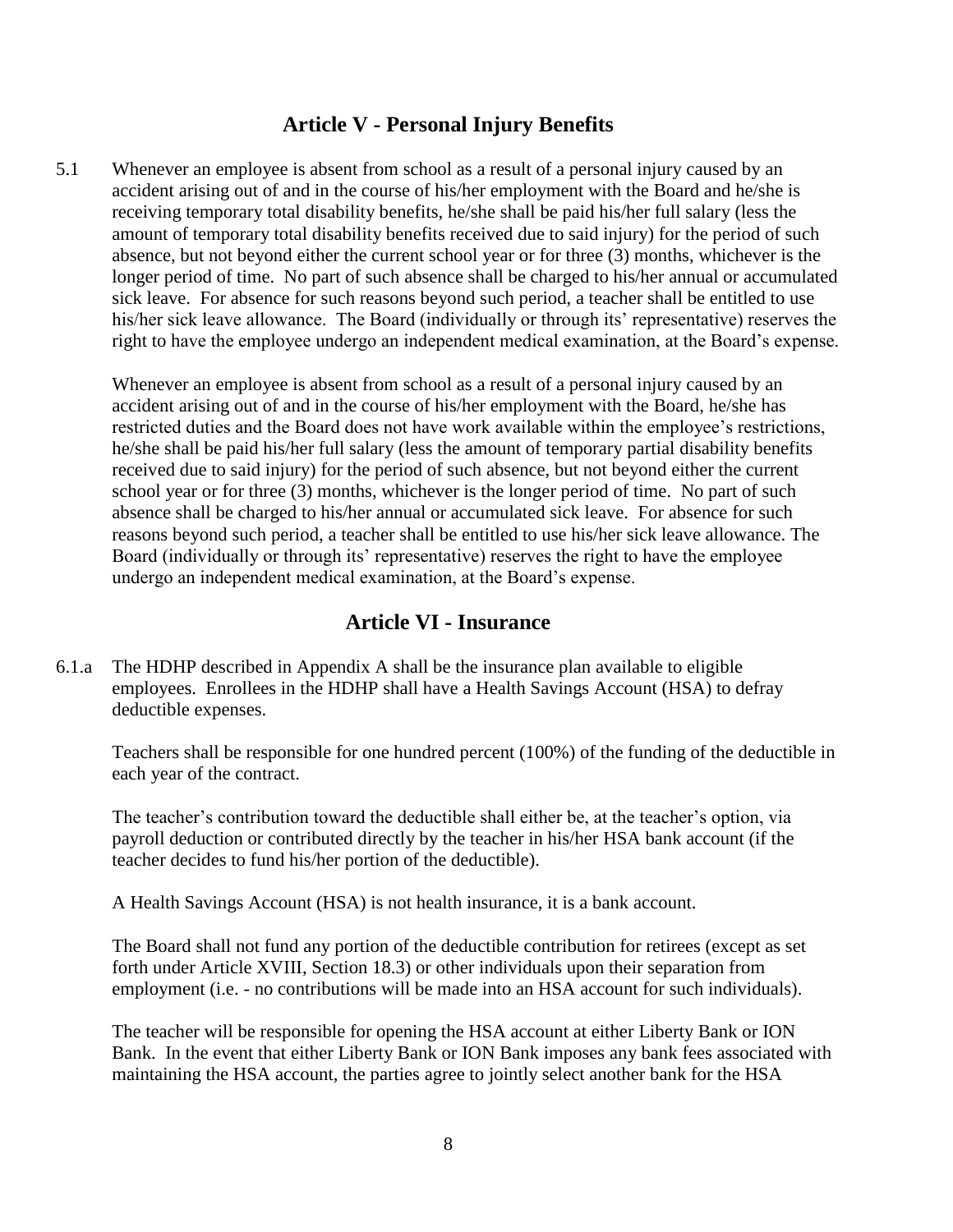#### **Article V - Personal Injury Benefits**

<span id="page-7-0"></span>5.1 Whenever an employee is absent from school as a result of a personal injury caused by an accident arising out of and in the course of his/her employment with the Board and he/she is receiving temporary total disability benefits, he/she shall be paid his/her full salary (less the amount of temporary total disability benefits received due to said injury) for the period of such absence, but not beyond either the current school year or for three (3) months, whichever is the longer period of time. No part of such absence shall be charged to his/her annual or accumulated sick leave. For absence for such reasons beyond such period, a teacher shall be entitled to use his/her sick leave allowance. The Board (individually or through its' representative) reserves the right to have the employee undergo an independent medical examination, at the Board's expense.

Whenever an employee is absent from school as a result of a personal injury caused by an accident arising out of and in the course of his/her employment with the Board, he/she has restricted duties and the Board does not have work available within the employee's restrictions, he/she shall be paid his/her full salary (less the amount of temporary partial disability benefits received due to said injury) for the period of such absence, but not beyond either the current school year or for three (3) months, whichever is the longer period of time. No part of such absence shall be charged to his/her annual or accumulated sick leave. For absence for such reasons beyond such period, a teacher shall be entitled to use his/her sick leave allowance. The Board (individually or through its' representative) reserves the right to have the employee undergo an independent medical examination, at the Board's expense.

### **Article VI - Insurance**

<span id="page-7-1"></span>6.1.a The HDHP described in Appendix A shall be the insurance plan available to eligible employees. Enrollees in the HDHP shall have a Health Savings Account (HSA) to defray deductible expenses.

Teachers shall be responsible for one hundred percent (100%) of the funding of the deductible in each year of the contract.

The teacher's contribution toward the deductible shall either be, at the teacher's option, via payroll deduction or contributed directly by the teacher in his/her HSA bank account (if the teacher decides to fund his/her portion of the deductible).

A Health Savings Account (HSA) is not health insurance, it is a bank account.

The Board shall not fund any portion of the deductible contribution for retirees (except as set forth under Article XVIII, Section 18.3) or other individuals upon their separation from employment (i.e. - no contributions will be made into an HSA account for such individuals).

The teacher will be responsible for opening the HSA account at either Liberty Bank or ION Bank. In the event that either Liberty Bank or ION Bank imposes any bank fees associated with maintaining the HSA account, the parties agree to jointly select another bank for the HSA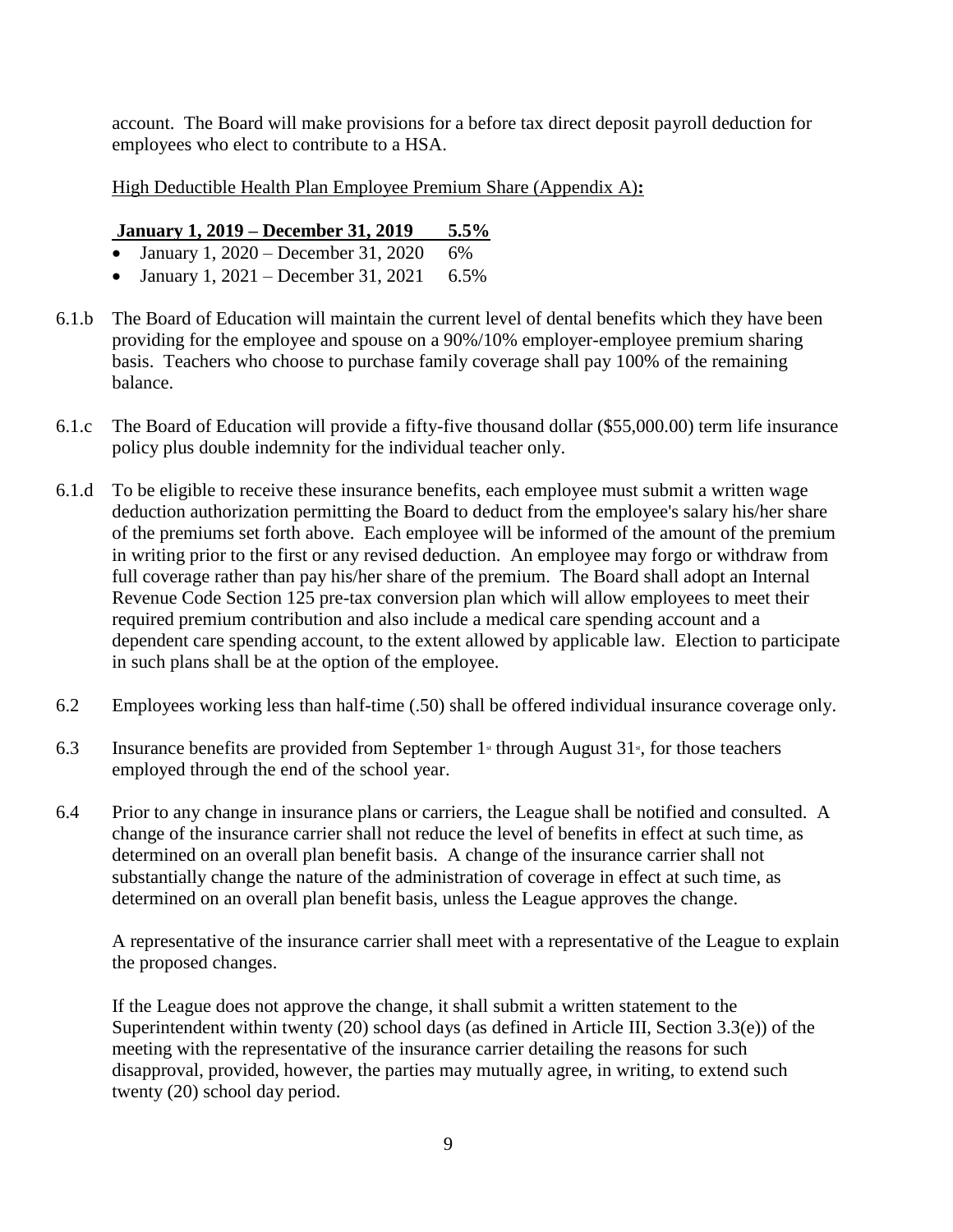account. The Board will make provisions for a before tax direct deposit payroll deduction for employees who elect to contribute to a HSA.

High Deductible Health Plan Employee Premium Share (Appendix A)**:**

#### **January 1, 2019 – December 31, 2019 5.5%**

- January 1, 2020 December 31, 2020  $6\%$
- January 1, 2021 December 31, 2021  $6.5\%$
- 6.1.b The Board of Education will maintain the current level of dental benefits which they have been providing for the employee and spouse on a 90%/10% employer-employee premium sharing basis. Teachers who choose to purchase family coverage shall pay 100% of the remaining balance.
- 6.1.c The Board of Education will provide a fifty-five thousand dollar (\$55,000.00) term life insurance policy plus double indemnity for the individual teacher only.
- 6.1.d To be eligible to receive these insurance benefits, each employee must submit a written wage deduction authorization permitting the Board to deduct from the employee's salary his/her share of the premiums set forth above. Each employee will be informed of the amount of the premium in writing prior to the first or any revised deduction. An employee may forgo or withdraw from full coverage rather than pay his/her share of the premium. The Board shall adopt an Internal Revenue Code Section 125 pre-tax conversion plan which will allow employees to meet their required premium contribution and also include a medical care spending account and a dependent care spending account, to the extent allowed by applicable law. Election to participate in such plans shall be at the option of the employee.
- 6.2 Employees working less than half-time (.50) shall be offered individual insurance coverage only.
- 6.3 Insurance benefits are provided from September  $1$ <sup>st</sup> through August  $31$ <sup>s</sup>, for those teachers employed through the end of the school year.
- 6.4 Prior to any change in insurance plans or carriers, the League shall be notified and consulted. A change of the insurance carrier shall not reduce the level of benefits in effect at such time, as determined on an overall plan benefit basis. A change of the insurance carrier shall not substantially change the nature of the administration of coverage in effect at such time, as determined on an overall plan benefit basis, unless the League approves the change.

A representative of the insurance carrier shall meet with a representative of the League to explain the proposed changes.

If the League does not approve the change, it shall submit a written statement to the Superintendent within twenty (20) school days (as defined in Article III, Section 3.3(e)) of the meeting with the representative of the insurance carrier detailing the reasons for such disapproval, provided, however, the parties may mutually agree, in writing, to extend such twenty (20) school day period.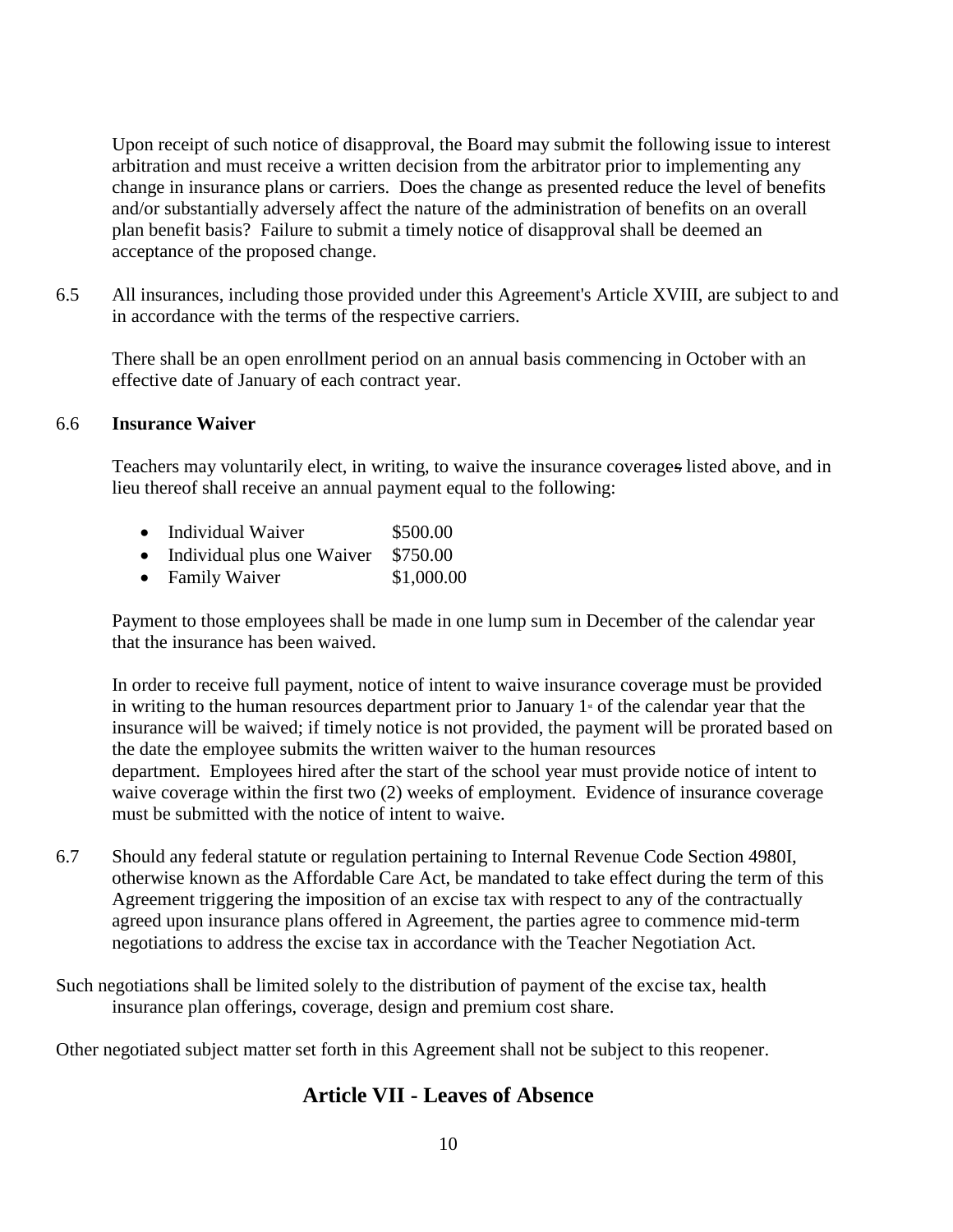Upon receipt of such notice of disapproval, the Board may submit the following issue to interest arbitration and must receive a written decision from the arbitrator prior to implementing any change in insurance plans or carriers. Does the change as presented reduce the level of benefits and/or substantially adversely affect the nature of the administration of benefits on an overall plan benefit basis? Failure to submit a timely notice of disapproval shall be deemed an acceptance of the proposed change.

6.5 All insurances, including those provided under this Agreement's Article XVIII, are subject to and in accordance with the terms of the respective carriers.

There shall be an open enrollment period on an annual basis commencing in October with an effective date of January of each contract year.

#### 6.6 **Insurance Waiver**

Teachers may voluntarily elect, in writing, to waive the insurance coverages listed above, and in lieu thereof shall receive an annual payment equal to the following:

|  | Individual Waiver | \$500.00 |
|--|-------------------|----------|
|--|-------------------|----------|

- Individual plus one Waiver \$750.00
- Family Waiver \$1,000.00

Payment to those employees shall be made in one lump sum in December of the calendar year that the insurance has been waived.

In order to receive full payment, notice of intent to waive insurance coverage must be provided in writing to the human resources department prior to January  $1<sup>*</sup>$  of the calendar year that the insurance will be waived; if timely notice is not provided, the payment will be prorated based on the date the employee submits the written waiver to the human resources department. Employees hired after the start of the school year must provide notice of intent to waive coverage within the first two (2) weeks of employment. Evidence of insurance coverage must be submitted with the notice of intent to waive.

- 6.7 Should any federal statute or regulation pertaining to Internal Revenue Code Section 4980I, otherwise known as the Affordable Care Act, be mandated to take effect during the term of this Agreement triggering the imposition of an excise tax with respect to any of the contractually agreed upon insurance plans offered in Agreement, the parties agree to commence mid-term negotiations to address the excise tax in accordance with the Teacher Negotiation Act.
- Such negotiations shall be limited solely to the distribution of payment of the excise tax, health insurance plan offerings, coverage, design and premium cost share.

<span id="page-9-0"></span>Other negotiated subject matter set forth in this Agreement shall not be subject to this reopener.

### **Article VII - Leaves of Absence**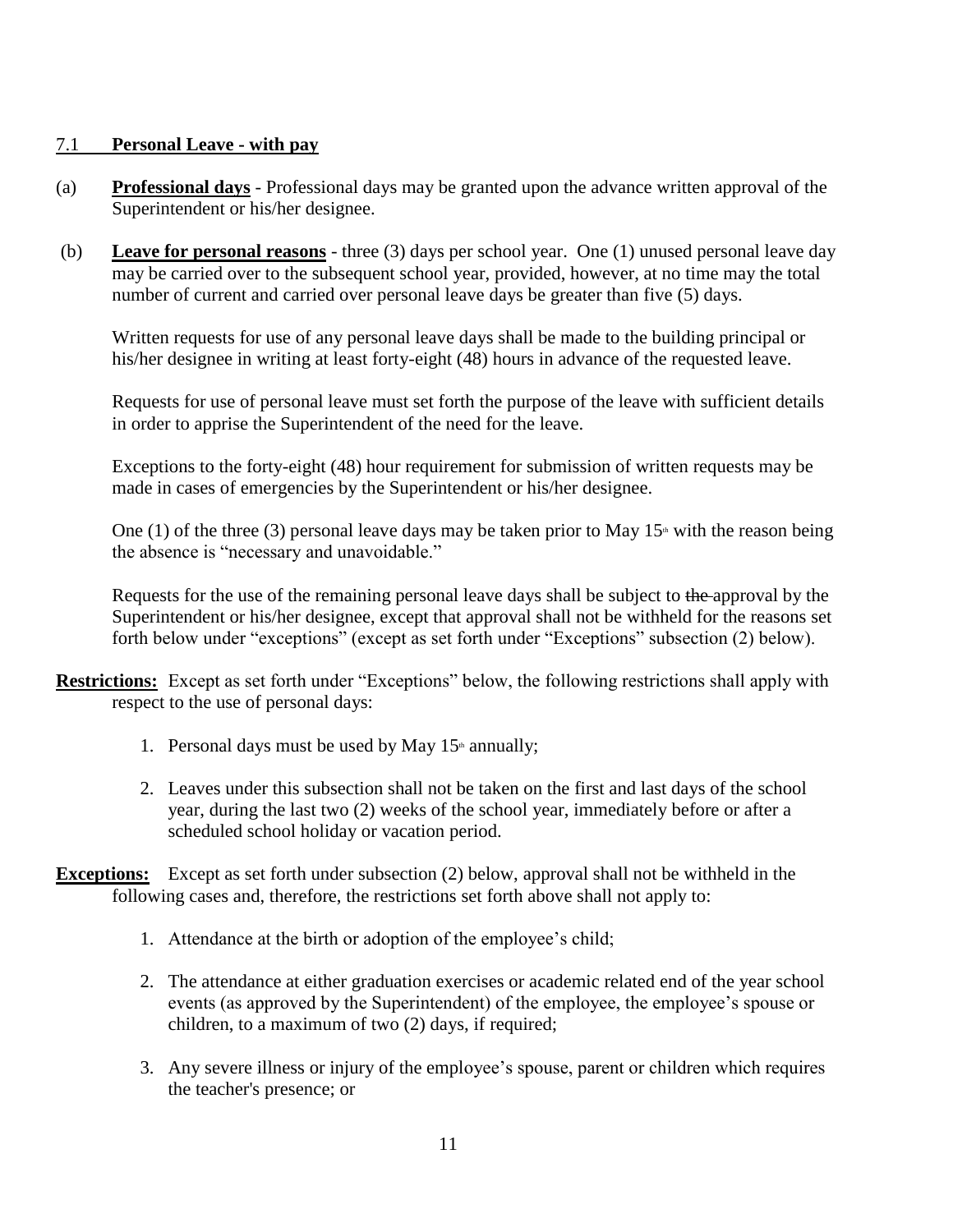#### <span id="page-10-0"></span>7.1 **Personal Leave - with pay**

- (a) **Professional days** Professional days may be granted upon the advance written approval of the Superintendent or his/her designee.
- (b) **Leave for personal reasons** three (3) days per school year. One (1) unused personal leave day may be carried over to the subsequent school year, provided, however, at no time may the total number of current and carried over personal leave days be greater than five (5) days.

Written requests for use of any personal leave days shall be made to the building principal or his/her designee in writing at least forty-eight (48) hours in advance of the requested leave.

Requests for use of personal leave must set forth the purpose of the leave with sufficient details in order to apprise the Superintendent of the need for the leave.

Exceptions to the forty-eight (48) hour requirement for submission of written requests may be made in cases of emergencies by the Superintendent or his/her designee.

One (1) of the three (3) personal leave days may be taken prior to May  $15<sup>th</sup>$  with the reason being the absence is "necessary and unavoidable."

Requests for the use of the remaining personal leave days shall be subject to the approval by the Superintendent or his/her designee, except that approval shall not be withheld for the reasons set forth below under "exceptions" (except as set forth under "Exceptions" subsection (2) below).

- **Restrictions:** Except as set forth under "Exceptions" below, the following restrictions shall apply with respect to the use of personal days:
	- 1. Personal days must be used by May  $15<sup>th</sup>$  annually;
	- 2. Leaves under this subsection shall not be taken on the first and last days of the school year, during the last two (2) weeks of the school year, immediately before or after a scheduled school holiday or vacation period.
- **Exceptions:** Except as set forth under subsection (2) below, approval shall not be withheld in the following cases and, therefore, the restrictions set forth above shall not apply to:
	- 1. Attendance at the birth or adoption of the employee's child;
	- 2. The attendance at either graduation exercises or academic related end of the year school events (as approved by the Superintendent) of the employee, the employee's spouse or children, to a maximum of two (2) days, if required;
	- 3. Any severe illness or injury of the employee's spouse, parent or children which requires the teacher's presence; or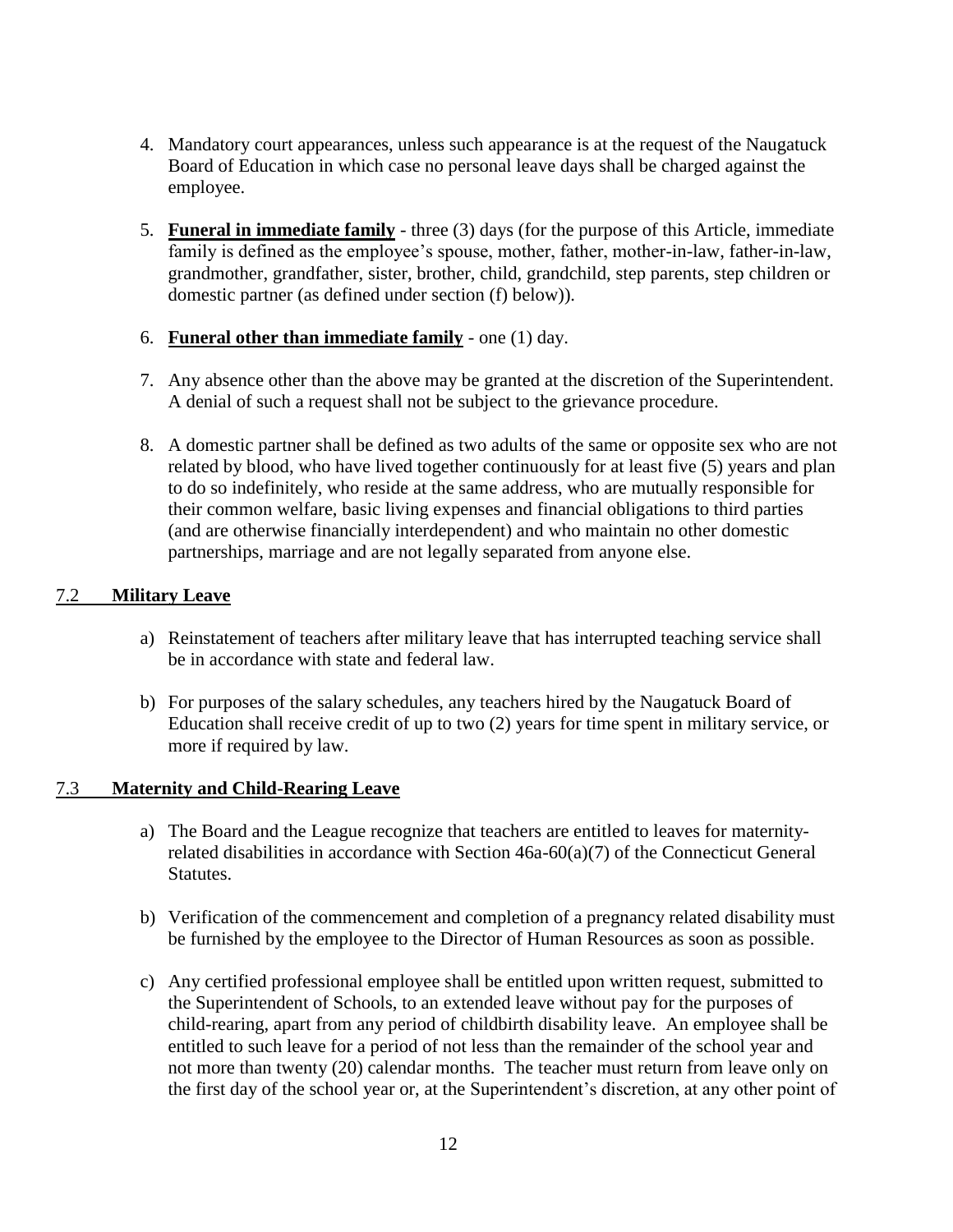- 4. Mandatory court appearances, unless such appearance is at the request of the Naugatuck Board of Education in which case no personal leave days shall be charged against the employee.
- <span id="page-11-0"></span>5. **Funeral in immediate family** - three (3) days (for the purpose of this Article, immediate family is defined as the employee's spouse, mother, father, mother-in-law, father-in-law, grandmother, grandfather, sister, brother, child, grandchild, step parents, step children or domestic partner (as defined under section (f) below)).
- <span id="page-11-1"></span>6. **Funeral other than immediate family** - one (1) day.
- 7. Any absence other than the above may be granted at the discretion of the Superintendent. A denial of such a request shall not be subject to the grievance procedure.
- 8. A domestic partner shall be defined as two adults of the same or opposite sex who are not related by blood, who have lived together continuously for at least five (5) years and plan to do so indefinitely, who reside at the same address, who are mutually responsible for their common welfare, basic living expenses and financial obligations to third parties (and are otherwise financially interdependent) and who maintain no other domestic partnerships, marriage and are not legally separated from anyone else.

#### <span id="page-11-2"></span>7.2 **Military Leave**

- a) Reinstatement of teachers after military leave that has interrupted teaching service shall be in accordance with state and federal law.
- b) For purposes of the salary schedules, any teachers hired by the Naugatuck Board of Education shall receive credit of up to two (2) years for time spent in military service, or more if required by law.

#### <span id="page-11-3"></span>7.3 **Maternity and Child-Rearing Leave**

- a) The Board and the League recognize that teachers are entitled to leaves for maternityrelated disabilities in accordance with Section 46a-60(a)(7) of the Connecticut General Statutes.
- b) Verification of the commencement and completion of a pregnancy related disability must be furnished by the employee to the Director of Human Resources as soon as possible.
- c) Any certified professional employee shall be entitled upon written request, submitted to the Superintendent of Schools, to an extended leave without pay for the purposes of child-rearing, apart from any period of childbirth disability leave. An employee shall be entitled to such leave for a period of not less than the remainder of the school year and not more than twenty (20) calendar months. The teacher must return from leave only on the first day of the school year or, at the Superintendent's discretion, at any other point of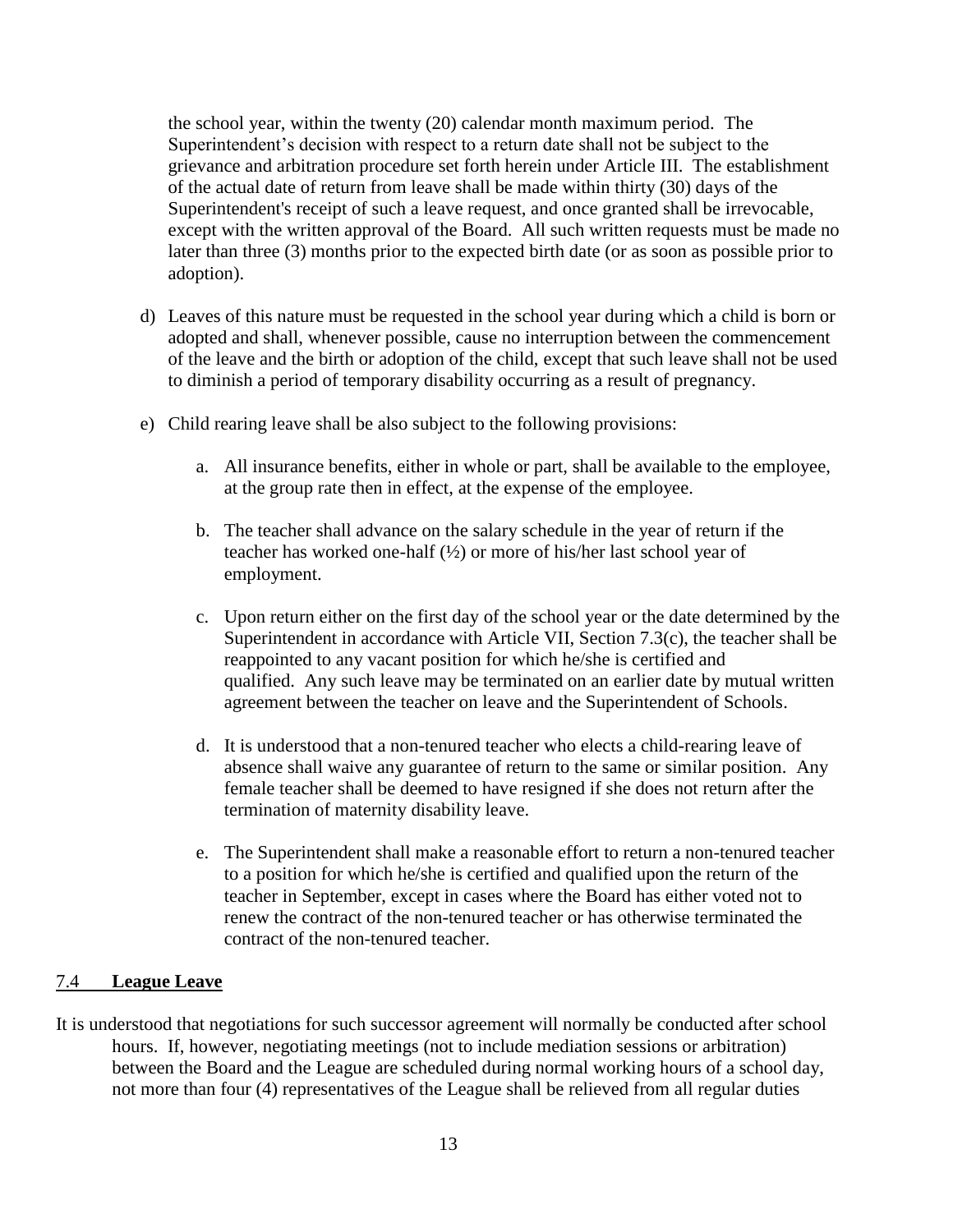the school year, within the twenty (20) calendar month maximum period. The Superintendent's decision with respect to a return date shall not be subject to the grievance and arbitration procedure set forth herein under Article III. The establishment of the actual date of return from leave shall be made within thirty (30) days of the Superintendent's receipt of such a leave request, and once granted shall be irrevocable, except with the written approval of the Board. All such written requests must be made no later than three (3) months prior to the expected birth date (or as soon as possible prior to adoption).

- d) Leaves of this nature must be requested in the school year during which a child is born or adopted and shall, whenever possible, cause no interruption between the commencement of the leave and the birth or adoption of the child, except that such leave shall not be used to diminish a period of temporary disability occurring as a result of pregnancy.
- e) Child rearing leave shall be also subject to the following provisions:
	- a. All insurance benefits, either in whole or part, shall be available to the employee, at the group rate then in effect, at the expense of the employee.
	- b. The teacher shall advance on the salary schedule in the year of return if the teacher has worked one-half (½) or more of his/her last school year of employment.
	- c. Upon return either on the first day of the school year or the date determined by the Superintendent in accordance with Article VII, Section 7.3(c), the teacher shall be reappointed to any vacant position for which he/she is certified and qualified. Any such leave may be terminated on an earlier date by mutual written agreement between the teacher on leave and the Superintendent of Schools.
	- d. It is understood that a non-tenured teacher who elects a child-rearing leave of absence shall waive any guarantee of return to the same or similar position. Any female teacher shall be deemed to have resigned if she does not return after the termination of maternity disability leave.
	- e. The Superintendent shall make a reasonable effort to return a non-tenured teacher to a position for which he/she is certified and qualified upon the return of the teacher in September, except in cases where the Board has either voted not to renew the contract of the non-tenured teacher or has otherwise terminated the contract of the non-tenured teacher.

#### <span id="page-12-0"></span>7.4 **League Leave**

It is understood that negotiations for such successor agreement will normally be conducted after school hours. If, however, negotiating meetings (not to include mediation sessions or arbitration) between the Board and the League are scheduled during normal working hours of a school day, not more than four (4) representatives of the League shall be relieved from all regular duties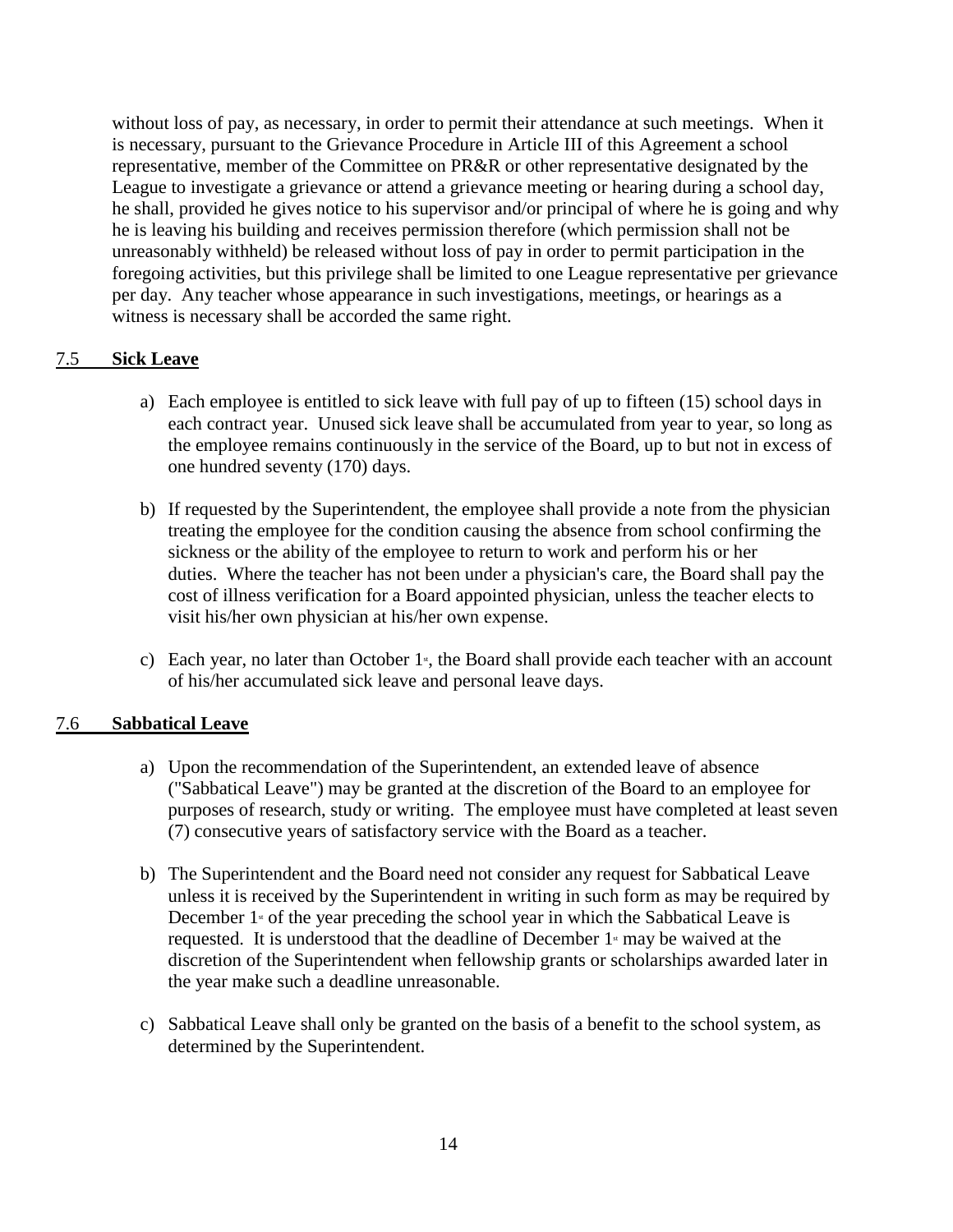without loss of pay, as necessary, in order to permit their attendance at such meetings. When it is necessary, pursuant to the Grievance Procedure in Article III of this Agreement a school representative, member of the Committee on PR&R or other representative designated by the League to investigate a grievance or attend a grievance meeting or hearing during a school day, he shall, provided he gives notice to his supervisor and/or principal of where he is going and why he is leaving his building and receives permission therefore (which permission shall not be unreasonably withheld) be released without loss of pay in order to permit participation in the foregoing activities, but this privilege shall be limited to one League representative per grievance per day. Any teacher whose appearance in such investigations, meetings, or hearings as a witness is necessary shall be accorded the same right.

#### <span id="page-13-0"></span>7.5 **Sick Leave**

- a) Each employee is entitled to sick leave with full pay of up to fifteen (15) school days in each contract year. Unused sick leave shall be accumulated from year to year, so long as the employee remains continuously in the service of the Board, up to but not in excess of one hundred seventy (170) days.
- b) If requested by the Superintendent, the employee shall provide a note from the physician treating the employee for the condition causing the absence from school confirming the sickness or the ability of the employee to return to work and perform his or her duties. Where the teacher has not been under a physician's care, the Board shall pay the cost of illness verification for a Board appointed physician, unless the teacher elects to visit his/her own physician at his/her own expense.
- c) Each year, no later than October  $1<sup>s</sup>$ , the Board shall provide each teacher with an account of his/her accumulated sick leave and personal leave days.

#### <span id="page-13-1"></span>7.6 **Sabbatical Leave**

- a) Upon the recommendation of the Superintendent, an extended leave of absence ("Sabbatical Leave") may be granted at the discretion of the Board to an employee for purposes of research, study or writing. The employee must have completed at least seven (7) consecutive years of satisfactory service with the Board as a teacher.
- b) The Superintendent and the Board need not consider any request for Sabbatical Leave unless it is received by the Superintendent in writing in such form as may be required by December  $1$ <sup>st</sup> of the year preceding the school year in which the Sabbatical Leave is requested. It is understood that the deadline of December  $1<sup>s</sup>$  may be waived at the discretion of the Superintendent when fellowship grants or scholarships awarded later in the year make such a deadline unreasonable.
- c) Sabbatical Leave shall only be granted on the basis of a benefit to the school system, as determined by the Superintendent.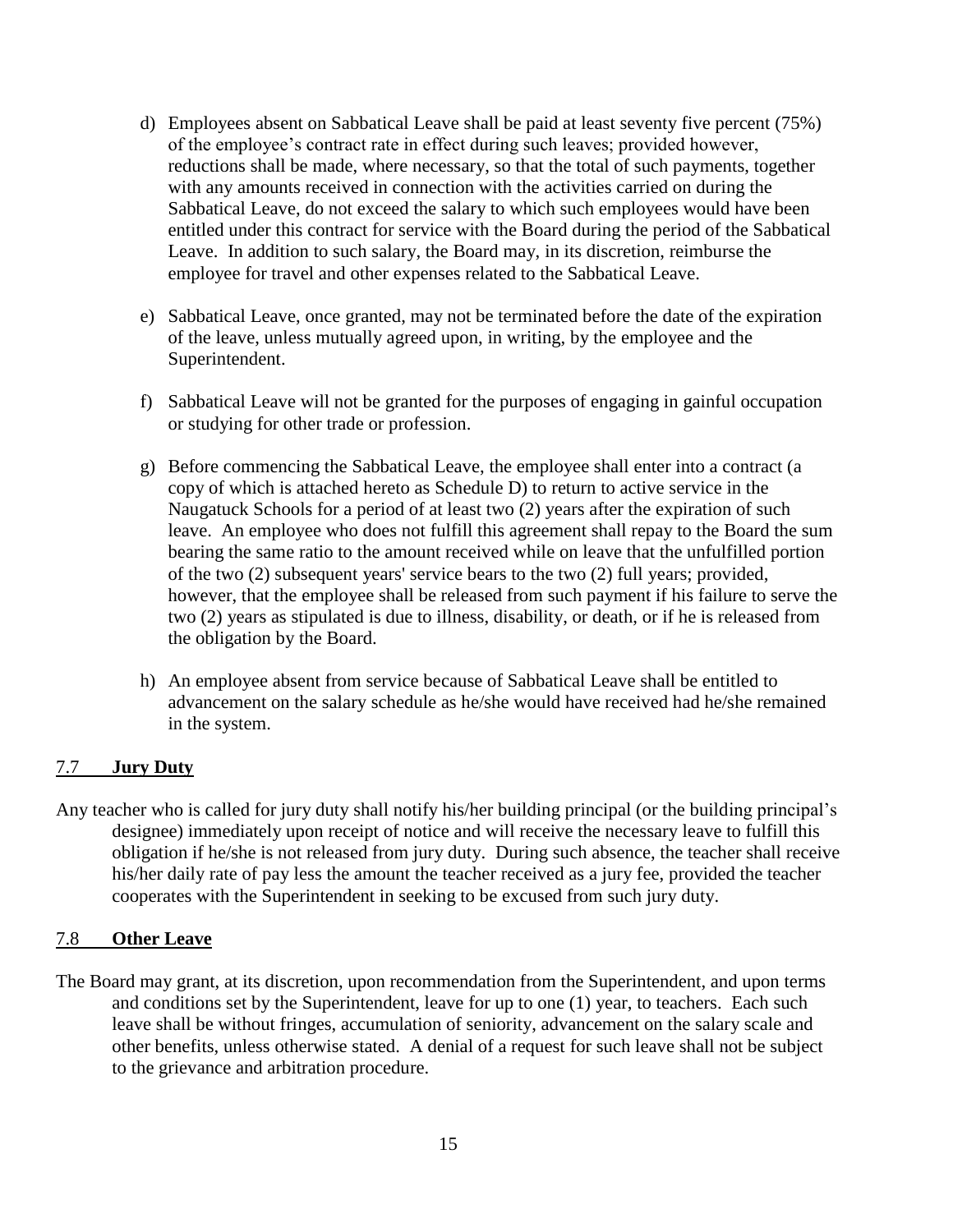- d) Employees absent on Sabbatical Leave shall be paid at least seventy five percent (75%) of the employee's contract rate in effect during such leaves; provided however, reductions shall be made, where necessary, so that the total of such payments, together with any amounts received in connection with the activities carried on during the Sabbatical Leave, do not exceed the salary to which such employees would have been entitled under this contract for service with the Board during the period of the Sabbatical Leave. In addition to such salary, the Board may, in its discretion, reimburse the employee for travel and other expenses related to the Sabbatical Leave.
- e) Sabbatical Leave, once granted, may not be terminated before the date of the expiration of the leave, unless mutually agreed upon, in writing, by the employee and the Superintendent.
- f) Sabbatical Leave will not be granted for the purposes of engaging in gainful occupation or studying for other trade or profession.
- g) Before commencing the Sabbatical Leave, the employee shall enter into a contract (a copy of which is attached hereto as Schedule D) to return to active service in the Naugatuck Schools for a period of at least two (2) years after the expiration of such leave. An employee who does not fulfill this agreement shall repay to the Board the sum bearing the same ratio to the amount received while on leave that the unfulfilled portion of the two (2) subsequent years' service bears to the two (2) full years; provided, however, that the employee shall be released from such payment if his failure to serve the two (2) years as stipulated is due to illness, disability, or death, or if he is released from the obligation by the Board.
- h) An employee absent from service because of Sabbatical Leave shall be entitled to advancement on the salary schedule as he/she would have received had he/she remained in the system.

#### <span id="page-14-0"></span>7.7 **Jury Duty**

Any teacher who is called for jury duty shall notify his/her building principal (or the building principal's designee) immediately upon receipt of notice and will receive the necessary leave to fulfill this obligation if he/she is not released from jury duty. During such absence, the teacher shall receive his/her daily rate of pay less the amount the teacher received as a jury fee, provided the teacher cooperates with the Superintendent in seeking to be excused from such jury duty.

#### <span id="page-14-1"></span>7.8 **Other Leave**

The Board may grant, at its discretion, upon recommendation from the Superintendent, and upon terms and conditions set by the Superintendent, leave for up to one (1) year, to teachers. Each such leave shall be without fringes, accumulation of seniority, advancement on the salary scale and other benefits, unless otherwise stated. A denial of a request for such leave shall not be subject to the grievance and arbitration procedure.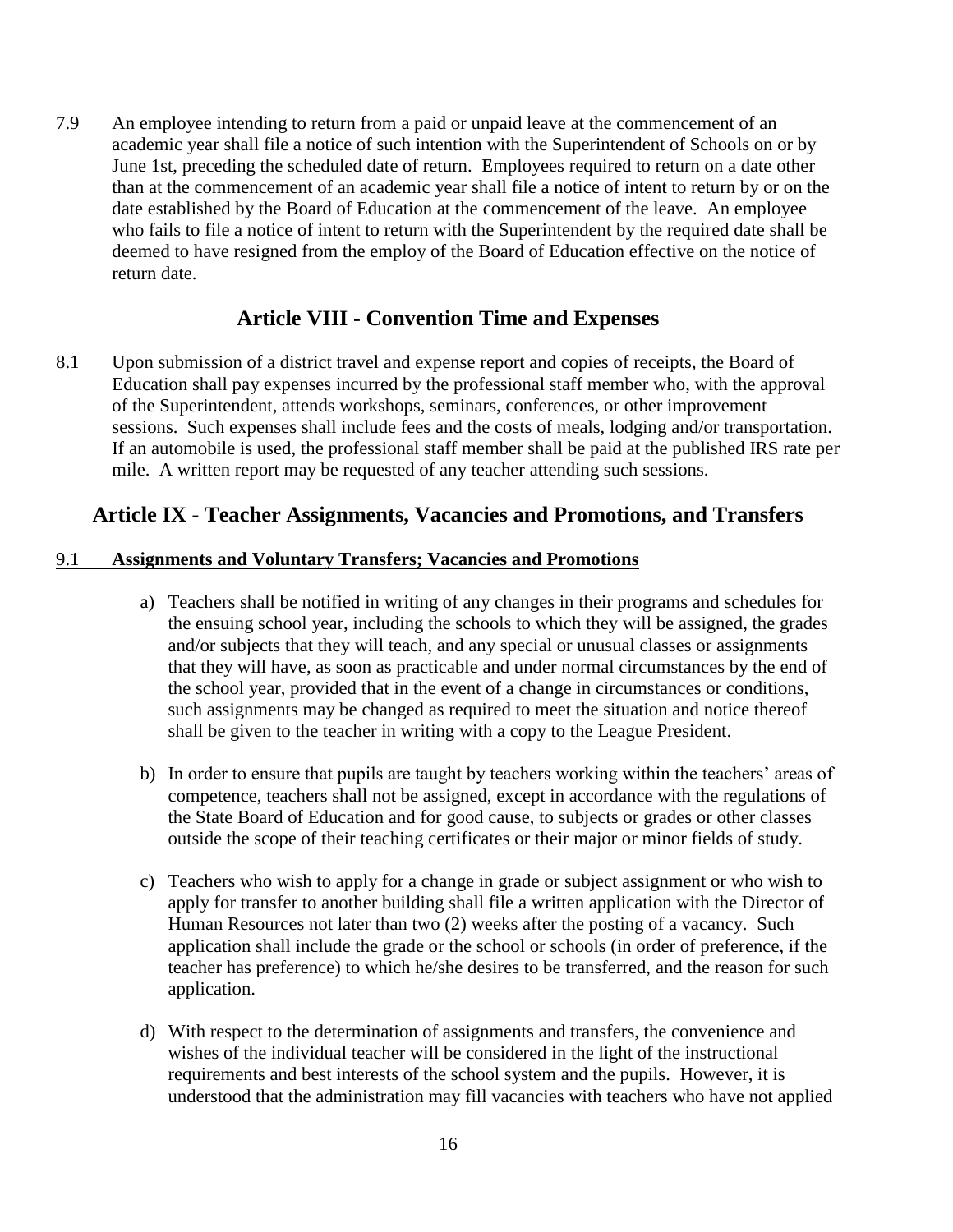7.9 An employee intending to return from a paid or unpaid leave at the commencement of an academic year shall file a notice of such intention with the Superintendent of Schools on or by June 1st, preceding the scheduled date of return. Employees required to return on a date other than at the commencement of an academic year shall file a notice of intent to return by or on the date established by the Board of Education at the commencement of the leave. An employee who fails to file a notice of intent to return with the Superintendent by the required date shall be deemed to have resigned from the employ of the Board of Education effective on the notice of return date.

### **Article VIII - Convention Time and Expenses**

<span id="page-15-0"></span>8.1 Upon submission of a district travel and expense report and copies of receipts, the Board of Education shall pay expenses incurred by the professional staff member who, with the approval of the Superintendent, attends workshops, seminars, conferences, or other improvement sessions. Such expenses shall include fees and the costs of meals, lodging and/or transportation. If an automobile is used, the professional staff member shall be paid at the published IRS rate per mile. A written report may be requested of any teacher attending such sessions.

### <span id="page-15-1"></span>**Article IX - Teacher Assignments, Vacancies and Promotions, and Transfers**

#### <span id="page-15-2"></span>9.1 **Assignments and Voluntary Transfers; Vacancies and Promotions**

- a) Teachers shall be notified in writing of any changes in their programs and schedules for the ensuing school year, including the schools to which they will be assigned, the grades and/or subjects that they will teach, and any special or unusual classes or assignments that they will have, as soon as practicable and under normal circumstances by the end of the school year, provided that in the event of a change in circumstances or conditions, such assignments may be changed as required to meet the situation and notice thereof shall be given to the teacher in writing with a copy to the League President.
- b) In order to ensure that pupils are taught by teachers working within the teachers' areas of competence, teachers shall not be assigned, except in accordance with the regulations of the State Board of Education and for good cause, to subjects or grades or other classes outside the scope of their teaching certificates or their major or minor fields of study.
- c) Teachers who wish to apply for a change in grade or subject assignment or who wish to apply for transfer to another building shall file a written application with the Director of Human Resources not later than two (2) weeks after the posting of a vacancy. Such application shall include the grade or the school or schools (in order of preference, if the teacher has preference) to which he/she desires to be transferred, and the reason for such application.
- d) With respect to the determination of assignments and transfers, the convenience and wishes of the individual teacher will be considered in the light of the instructional requirements and best interests of the school system and the pupils. However, it is understood that the administration may fill vacancies with teachers who have not applied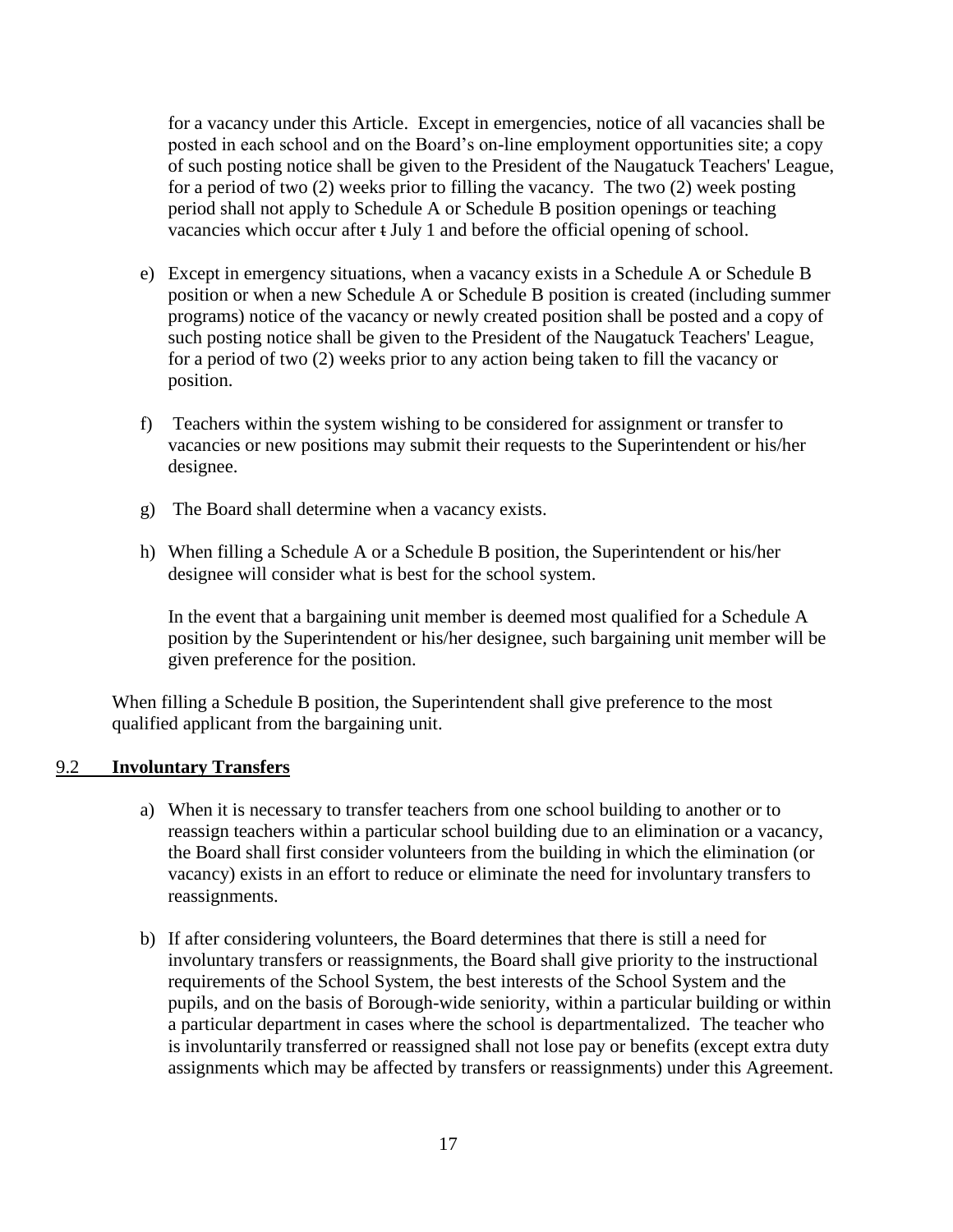for a vacancy under this Article. Except in emergencies, notice of all vacancies shall be posted in each school and on the Board's on-line employment opportunities site; a copy of such posting notice shall be given to the President of the Naugatuck Teachers' League, for a period of two (2) weeks prior to filling the vacancy. The two (2) week posting period shall not apply to Schedule A or Schedule B position openings or teaching vacancies which occur after t July 1 and before the official opening of school.

- e) Except in emergency situations, when a vacancy exists in a Schedule A or Schedule B position or when a new Schedule A or Schedule B position is created (including summer programs) notice of the vacancy or newly created position shall be posted and a copy of such posting notice shall be given to the President of the Naugatuck Teachers' League, for a period of two (2) weeks prior to any action being taken to fill the vacancy or position.
- f) Teachers within the system wishing to be considered for assignment or transfer to vacancies or new positions may submit their requests to the Superintendent or his/her designee.
- g) The Board shall determine when a vacancy exists.
- h) When filling a Schedule A or a Schedule B position, the Superintendent or his/her designee will consider what is best for the school system.

In the event that a bargaining unit member is deemed most qualified for a Schedule A position by the Superintendent or his/her designee, such bargaining unit member will be given preference for the position.

When filling a Schedule B position, the Superintendent shall give preference to the most qualified applicant from the bargaining unit.

#### <span id="page-16-0"></span>9.2 **Involuntary Transfers**

- a) When it is necessary to transfer teachers from one school building to another or to reassign teachers within a particular school building due to an elimination or a vacancy, the Board shall first consider volunteers from the building in which the elimination (or vacancy) exists in an effort to reduce or eliminate the need for involuntary transfers to reassignments.
- b) If after considering volunteers, the Board determines that there is still a need for involuntary transfers or reassignments, the Board shall give priority to the instructional requirements of the School System, the best interests of the School System and the pupils, and on the basis of Borough-wide seniority, within a particular building or within a particular department in cases where the school is departmentalized. The teacher who is involuntarily transferred or reassigned shall not lose pay or benefits (except extra duty assignments which may be affected by transfers or reassignments) under this Agreement.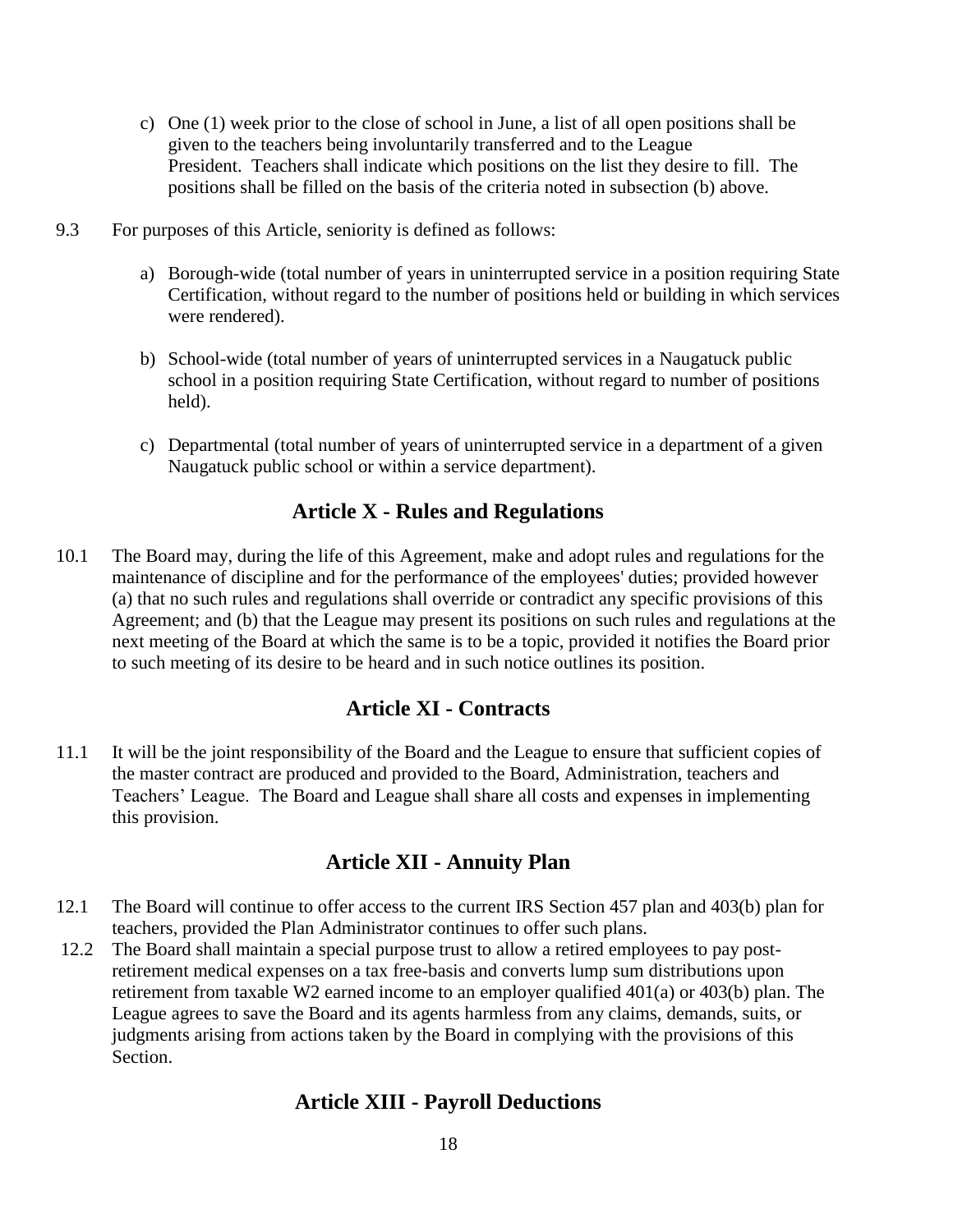- c) One (1) week prior to the close of school in June, a list of all open positions shall be given to the teachers being involuntarily transferred and to the League President. Teachers shall indicate which positions on the list they desire to fill. The positions shall be filled on the basis of the criteria noted in subsection (b) above.
- 9.3 For purposes of this Article, seniority is defined as follows:
	- a) Borough-wide (total number of years in uninterrupted service in a position requiring State Certification, without regard to the number of positions held or building in which services were rendered).
	- b) School-wide (total number of years of uninterrupted services in a Naugatuck public school in a position requiring State Certification, without regard to number of positions held).
	- c) Departmental (total number of years of uninterrupted service in a department of a given Naugatuck public school or within a service department).

### **Article X - Rules and Regulations**

<span id="page-17-0"></span>10.1 The Board may, during the life of this Agreement, make and adopt rules and regulations for the maintenance of discipline and for the performance of the employees' duties; provided however (a) that no such rules and regulations shall override or contradict any specific provisions of this Agreement; and (b) that the League may present its positions on such rules and regulations at the next meeting of the Board at which the same is to be a topic, provided it notifies the Board prior to such meeting of its desire to be heard and in such notice outlines its position.

### **Article XI - Contracts**

<span id="page-17-1"></span>11.1 It will be the joint responsibility of the Board and the League to ensure that sufficient copies of the master contract are produced and provided to the Board, Administration, teachers and Teachers' League. The Board and League shall share all costs and expenses in implementing this provision.

### **Article XII - Annuity Plan**

- <span id="page-17-2"></span>12.1 The Board will continue to offer access to the current IRS Section 457 plan and 403(b) plan for teachers, provided the Plan Administrator continues to offer such plans.
- <span id="page-17-3"></span>12.2 The Board shall maintain a special purpose trust to allow a retired employees to pay postretirement medical expenses on a tax free-basis and converts lump sum distributions upon retirement from taxable W2 earned income to an employer qualified 401(a) or 403(b) plan. The League agrees to save the Board and its agents harmless from any claims, demands, suits, or judgments arising from actions taken by the Board in complying with the provisions of this **Section**

### **Article XIII - Payroll Deductions**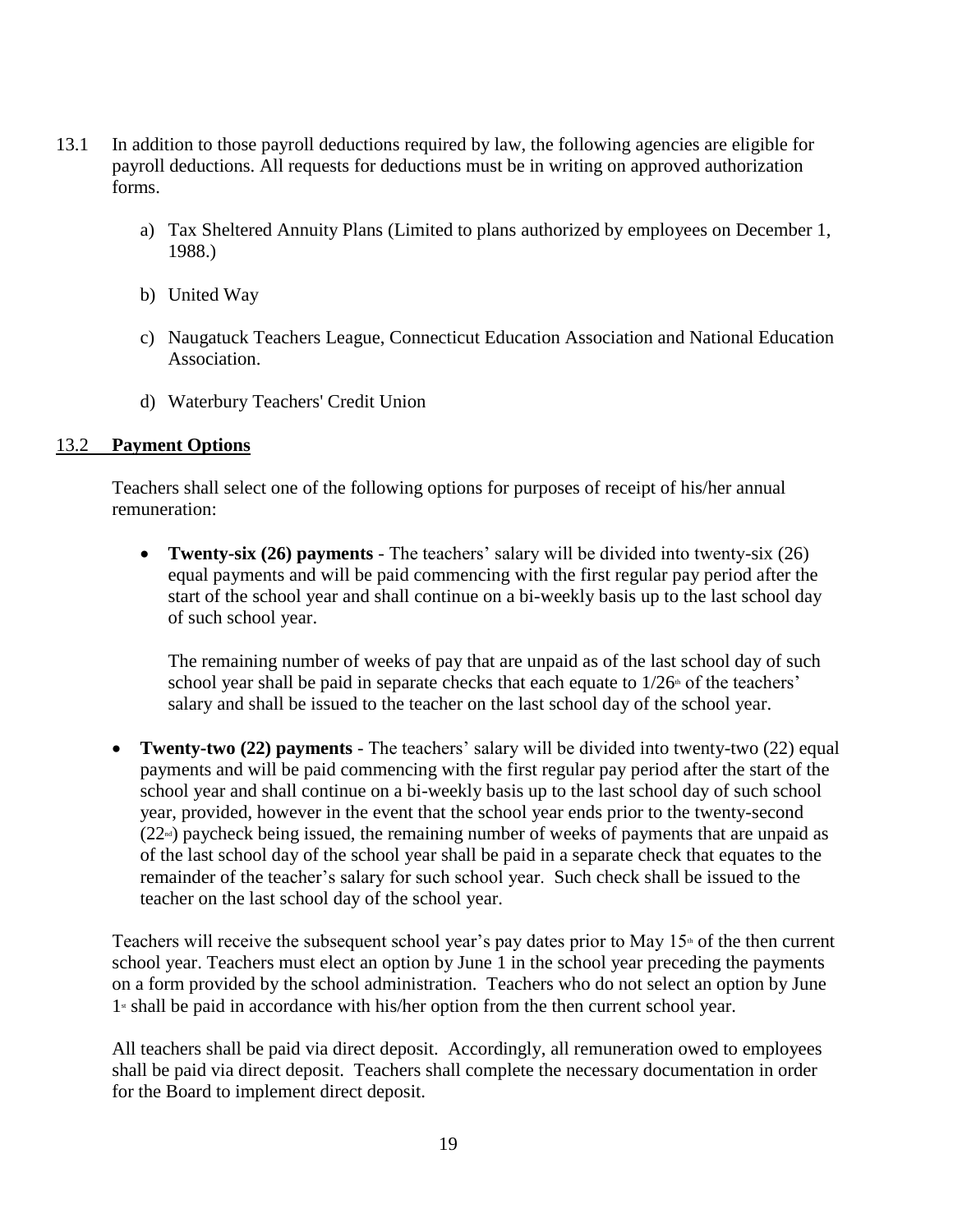- 13.1 In addition to those payroll deductions required by law, the following agencies are eligible for payroll deductions. All requests for deductions must be in writing on approved authorization forms.
	- a) Tax Sheltered Annuity Plans (Limited to plans authorized by employees on December 1, 1988.)
	- b) United Way
	- c) Naugatuck Teachers League, Connecticut Education Association and National Education Association.
	- d) Waterbury Teachers' Credit Union

#### <span id="page-18-0"></span>13.2 **Payment Options**

Teachers shall select one of the following options for purposes of receipt of his/her annual remuneration:

 **Twenty-six (26) payments** - The teachers' salary will be divided into twenty-six (26) equal payments and will be paid commencing with the first regular pay period after the start of the school year and shall continue on a bi-weekly basis up to the last school day of such school year.

The remaining number of weeks of pay that are unpaid as of the last school day of such school year shall be paid in separate checks that each equate to  $1/26$ <sup>th</sup> of the teachers' salary and shall be issued to the teacher on the last school day of the school year.

 **Twenty-two (22) payments** - The teachers' salary will be divided into twenty-two (22) equal payments and will be paid commencing with the first regular pay period after the start of the school year and shall continue on a bi-weekly basis up to the last school day of such school year, provided, however in the event that the school year ends prior to the twenty-second  $(22<sup>nd</sup>)$  paycheck being issued, the remaining number of weeks of payments that are unpaid as of the last school day of the school year shall be paid in a separate check that equates to the remainder of the teacher's salary for such school year. Such check shall be issued to the teacher on the last school day of the school year.

Teachers will receive the subsequent school year's pay dates prior to May  $15<sup>th</sup>$  of the then current school year. Teachers must elect an option by June 1 in the school year preceding the payments on a form provided by the school administration. Teachers who do not select an option by June  $1$ <sup>s</sup> shall be paid in accordance with his/her option from the then current school year.

All teachers shall be paid via direct deposit. Accordingly, all remuneration owed to employees shall be paid via direct deposit. Teachers shall complete the necessary documentation in order for the Board to implement direct deposit.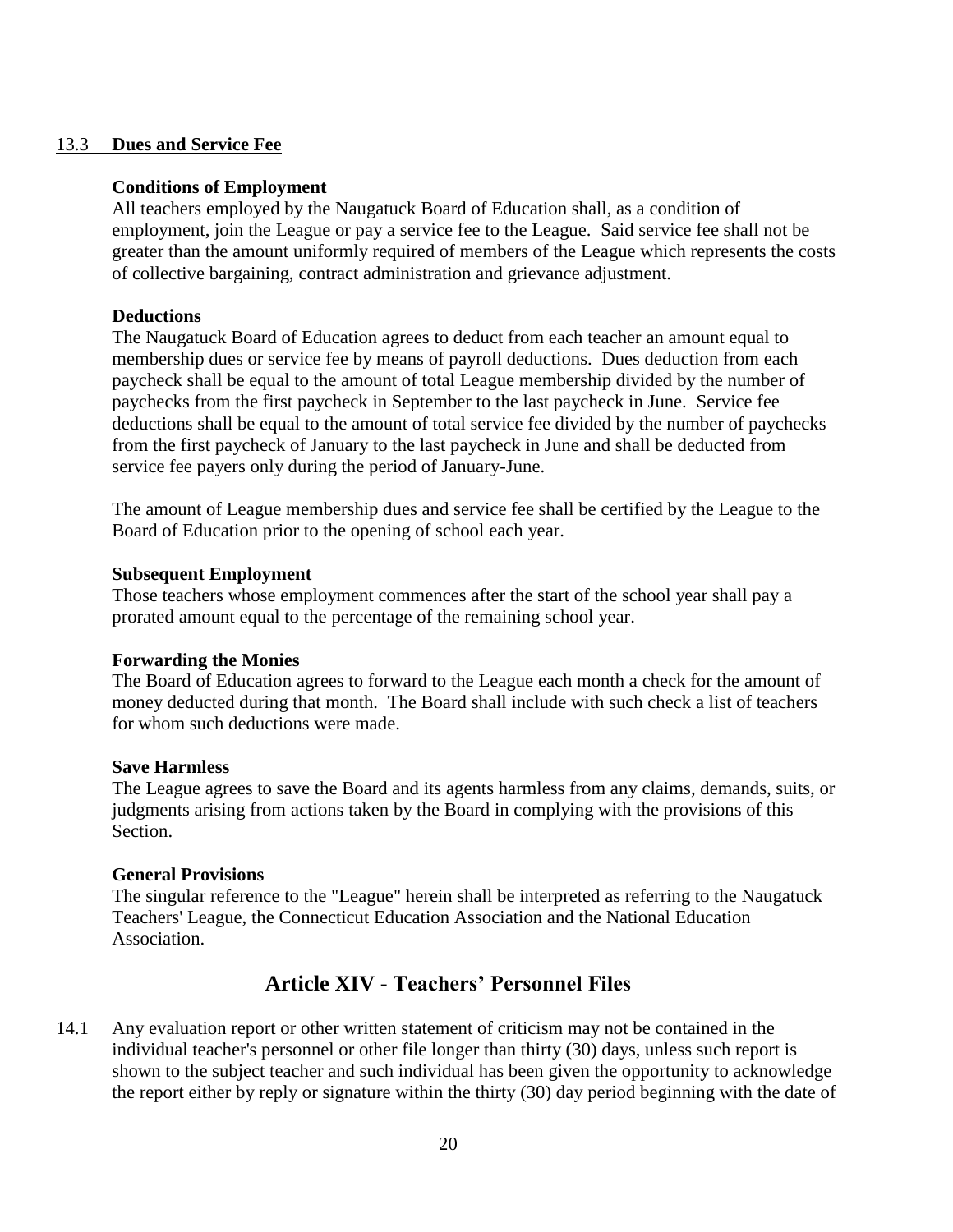#### <span id="page-19-0"></span>13.3 **Dues and Service Fee**

#### **Conditions of Employment**

All teachers employed by the Naugatuck Board of Education shall, as a condition of employment, join the League or pay a service fee to the League. Said service fee shall not be greater than the amount uniformly required of members of the League which represents the costs of collective bargaining, contract administration and grievance adjustment.

#### **Deductions**

The Naugatuck Board of Education agrees to deduct from each teacher an amount equal to membership dues or service fee by means of payroll deductions. Dues deduction from each paycheck shall be equal to the amount of total League membership divided by the number of paychecks from the first paycheck in September to the last paycheck in June. Service fee deductions shall be equal to the amount of total service fee divided by the number of paychecks from the first paycheck of January to the last paycheck in June and shall be deducted from service fee payers only during the period of January-June.

The amount of League membership dues and service fee shall be certified by the League to the Board of Education prior to the opening of school each year.

#### **Subsequent Employment**

Those teachers whose employment commences after the start of the school year shall pay a prorated amount equal to the percentage of the remaining school year.

#### **Forwarding the Monies**

The Board of Education agrees to forward to the League each month a check for the amount of money deducted during that month. The Board shall include with such check a list of teachers for whom such deductions were made.

#### **Save Harmless**

The League agrees to save the Board and its agents harmless from any claims, demands, suits, or judgments arising from actions taken by the Board in complying with the provisions of this Section.

#### **General Provisions**

The singular reference to the "League" herein shall be interpreted as referring to the Naugatuck Teachers' League, the Connecticut Education Association and the National Education Association.

### **Article XIV - Teachers' Personnel Files**

<span id="page-19-1"></span>14.1 Any evaluation report or other written statement of criticism may not be contained in the individual teacher's personnel or other file longer than thirty (30) days, unless such report is shown to the subject teacher and such individual has been given the opportunity to acknowledge the report either by reply or signature within the thirty (30) day period beginning with the date of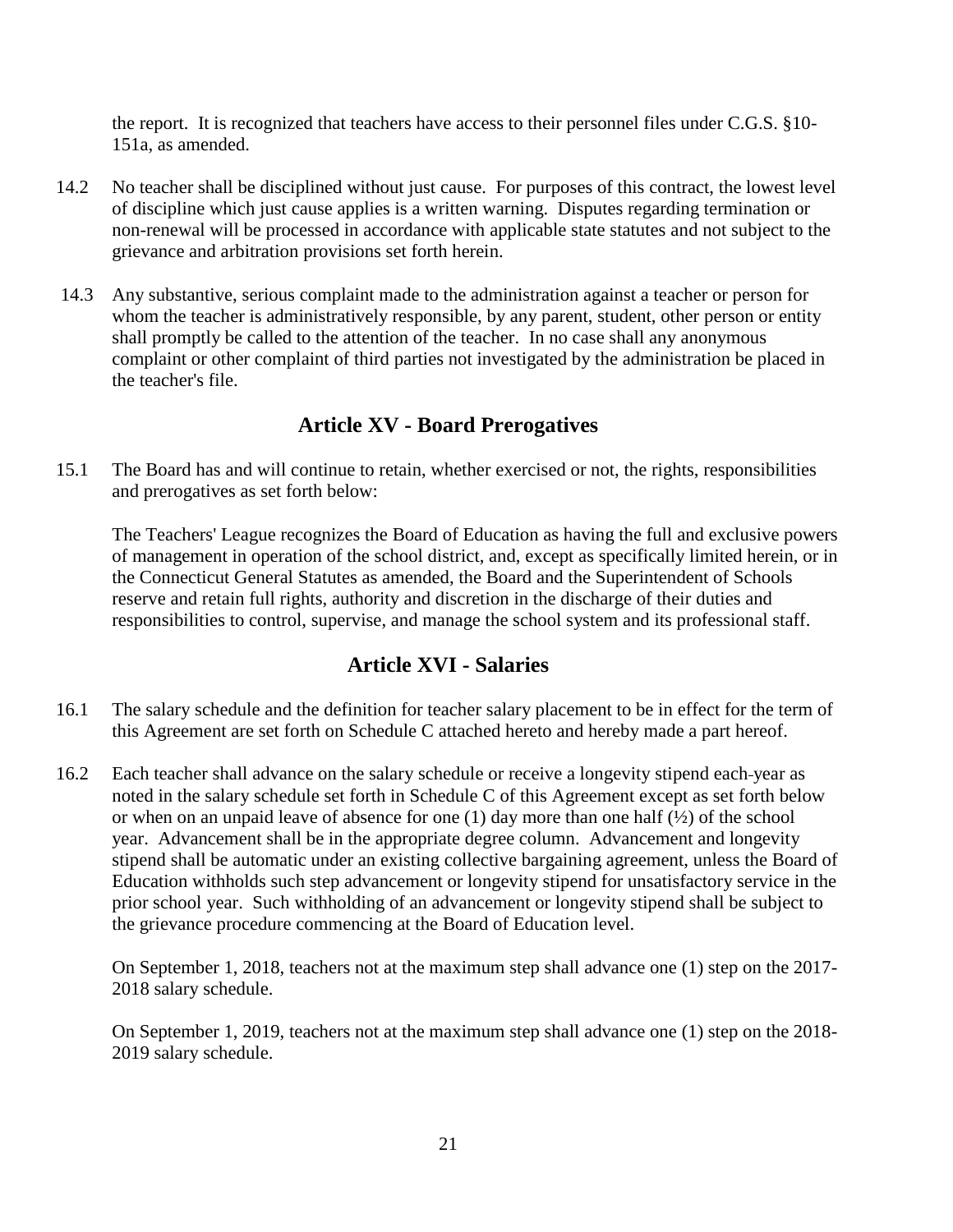the report. It is recognized that teachers have access to their personnel files under C.G.S. §10- 151a, as amended.

- 14.2 No teacher shall be disciplined without just cause. For purposes of this contract, the lowest level of discipline which just cause applies is a written warning. Disputes regarding termination or non-renewal will be processed in accordance with applicable state statutes and not subject to the grievance and arbitration provisions set forth herein.
- 14.3 Any substantive, serious complaint made to the administration against a teacher or person for whom the teacher is administratively responsible, by any parent, student, other person or entity shall promptly be called to the attention of the teacher. In no case shall any anonymous complaint or other complaint of third parties not investigated by the administration be placed in the teacher's file.

### **Article XV - Board Prerogatives**

<span id="page-20-0"></span>15.1 The Board has and will continue to retain, whether exercised or not, the rights, responsibilities and prerogatives as set forth below:

The Teachers' League recognizes the Board of Education as having the full and exclusive powers of management in operation of the school district, and, except as specifically limited herein, or in the Connecticut General Statutes as amended, the Board and the Superintendent of Schools reserve and retain full rights, authority and discretion in the discharge of their duties and responsibilities to control, supervise, and manage the school system and its professional staff.

### **Article XVI - Salaries**

- <span id="page-20-1"></span>16.1 The salary schedule and the definition for teacher salary placement to be in effect for the term of this Agreement are set forth on Schedule C attached hereto and hereby made a part hereof.
- 16.2 Each teacher shall advance on the salary schedule or receive a longevity stipend each year as noted in the salary schedule set forth in Schedule C of this Agreement except as set forth below or when on an unpaid leave of absence for one (1) day more than one half  $(\frac{1}{2})$  of the school year. Advancement shall be in the appropriate degree column. Advancement and longevity stipend shall be automatic under an existing collective bargaining agreement, unless the Board of Education withholds such step advancement or longevity stipend for unsatisfactory service in the prior school year. Such withholding of an advancement or longevity stipend shall be subject to the grievance procedure commencing at the Board of Education level.

On September 1, 2018, teachers not at the maximum step shall advance one (1) step on the 2017- 2018 salary schedule.

On September 1, 2019, teachers not at the maximum step shall advance one (1) step on the 2018- 2019 salary schedule.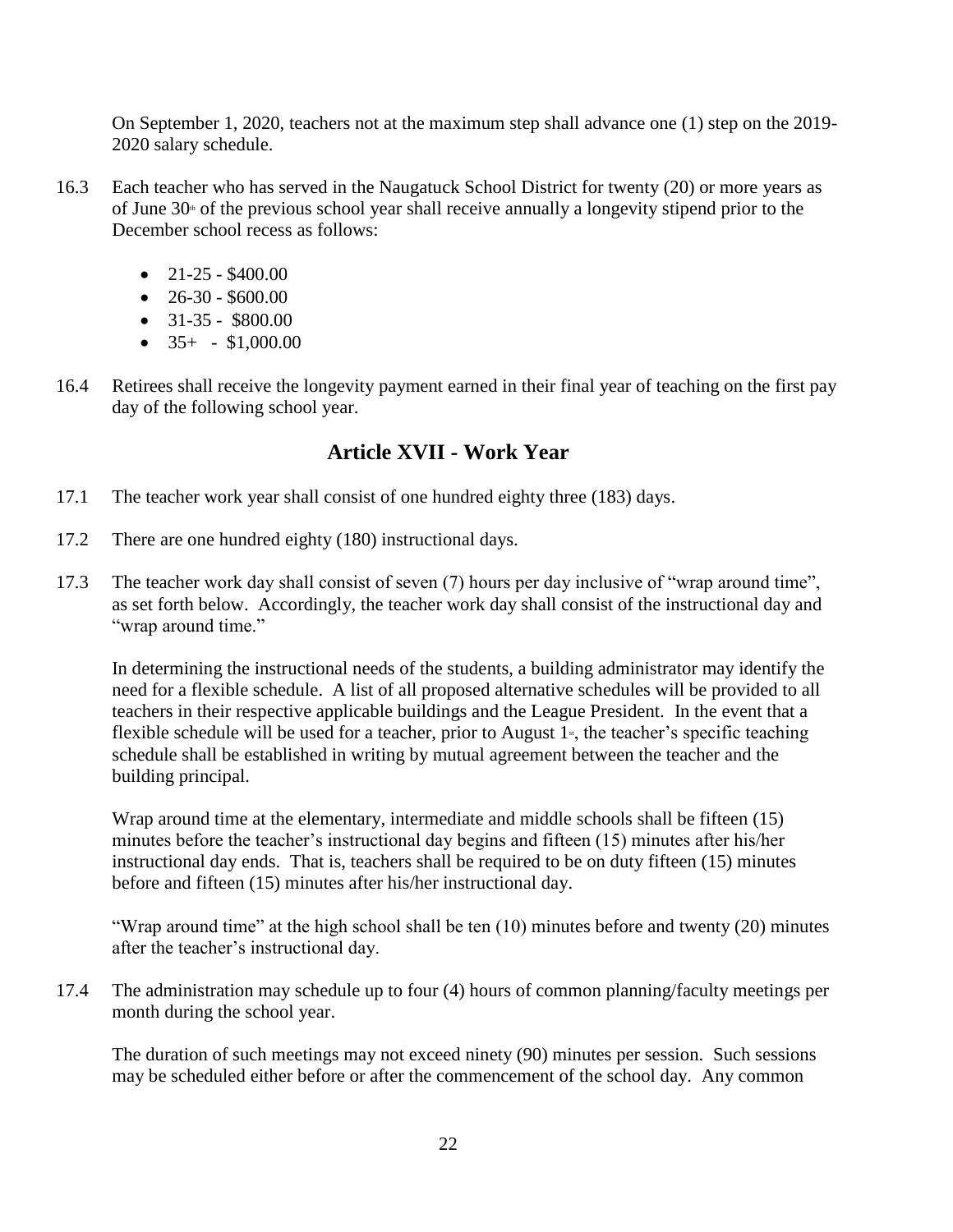On September 1, 2020, teachers not at the maximum step shall advance one (1) step on the 2019- 2020 salary schedule.

- 16.3 Each teacher who has served in the Naugatuck School District for twenty (20) or more years as of June  $30<sup>th</sup>$  of the previous school year shall receive annually a longevity stipend prior to the December school recess as follows:
	- $\bullet$  21-25 \$400.00
	- $\bullet$  26-30 \$600.00
	- $\bullet$  31-35 \$800.00
	- $\bullet$  35+ \$1,000.00
- 16.4 Retirees shall receive the longevity payment earned in their final year of teaching on the first pay day of the following school year.

### **Article XVII - Work Year**

- <span id="page-21-0"></span>17.1 The teacher work year shall consist of one hundred eighty three (183) days.
- 17.2 There are one hundred eighty (180) instructional days.
- 17.3 The teacher work day shall consist of seven (7) hours per day inclusive of "wrap around time", as set forth below. Accordingly, the teacher work day shall consist of the instructional day and "wrap around time."

In determining the instructional needs of the students, a building administrator may identify the need for a flexible schedule. A list of all proposed alternative schedules will be provided to all teachers in their respective applicable buildings and the League President. In the event that a flexible schedule will be used for a teacher, prior to August  $1<sup>s</sup>$ , the teacher's specific teaching schedule shall be established in writing by mutual agreement between the teacher and the building principal.

Wrap around time at the elementary, intermediate and middle schools shall be fifteen (15) minutes before the teacher's instructional day begins and fifteen (15) minutes after his/her instructional day ends. That is, teachers shall be required to be on duty fifteen (15) minutes before and fifteen (15) minutes after his/her instructional day.

"Wrap around time" at the high school shall be ten (10) minutes before and twenty (20) minutes after the teacher's instructional day.

17.4 The administration may schedule up to four (4) hours of common planning/faculty meetings per month during the school year.

The duration of such meetings may not exceed ninety (90) minutes per session. Such sessions may be scheduled either before or after the commencement of the school day. Any common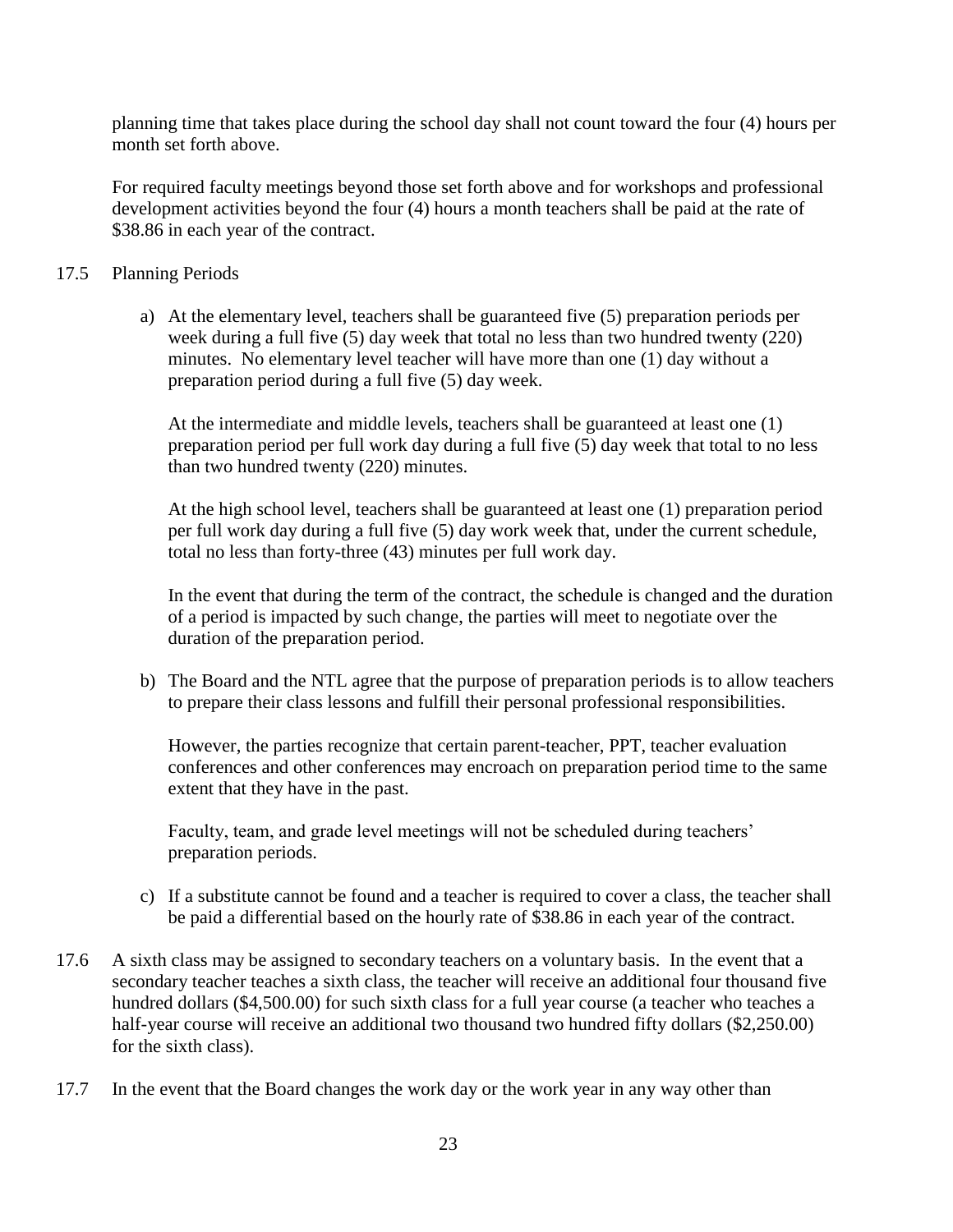planning time that takes place during the school day shall not count toward the four (4) hours per month set forth above.

For required faculty meetings beyond those set forth above and for workshops and professional development activities beyond the four (4) hours a month teachers shall be paid at the rate of \$38.86 in each year of the contract.

- 17.5 Planning Periods
	- a) At the elementary level, teachers shall be guaranteed five (5) preparation periods per week during a full five (5) day week that total no less than two hundred twenty (220) minutes. No elementary level teacher will have more than one (1) day without a preparation period during a full five (5) day week.

At the intermediate and middle levels, teachers shall be guaranteed at least one (1) preparation period per full work day during a full five (5) day week that total to no less than two hundred twenty (220) minutes.

At the high school level, teachers shall be guaranteed at least one (1) preparation period per full work day during a full five (5) day work week that, under the current schedule, total no less than forty-three (43) minutes per full work day.

In the event that during the term of the contract, the schedule is changed and the duration of a period is impacted by such change, the parties will meet to negotiate over the duration of the preparation period.

b) The Board and the NTL agree that the purpose of preparation periods is to allow teachers to prepare their class lessons and fulfill their personal professional responsibilities.

However, the parties recognize that certain parent-teacher, PPT, teacher evaluation conferences and other conferences may encroach on preparation period time to the same extent that they have in the past.

Faculty, team, and grade level meetings will not be scheduled during teachers' preparation periods.

- c) If a substitute cannot be found and a teacher is required to cover a class, the teacher shall be paid a differential based on the hourly rate of \$38.86 in each year of the contract.
- 17.6 A sixth class may be assigned to secondary teachers on a voluntary basis. In the event that a secondary teacher teaches a sixth class, the teacher will receive an additional four thousand five hundred dollars (\$4,500.00) for such sixth class for a full year course (a teacher who teaches a half-year course will receive an additional two thousand two hundred fifty dollars (\$2,250.00) for the sixth class).
- 17.7 In the event that the Board changes the work day or the work year in any way other than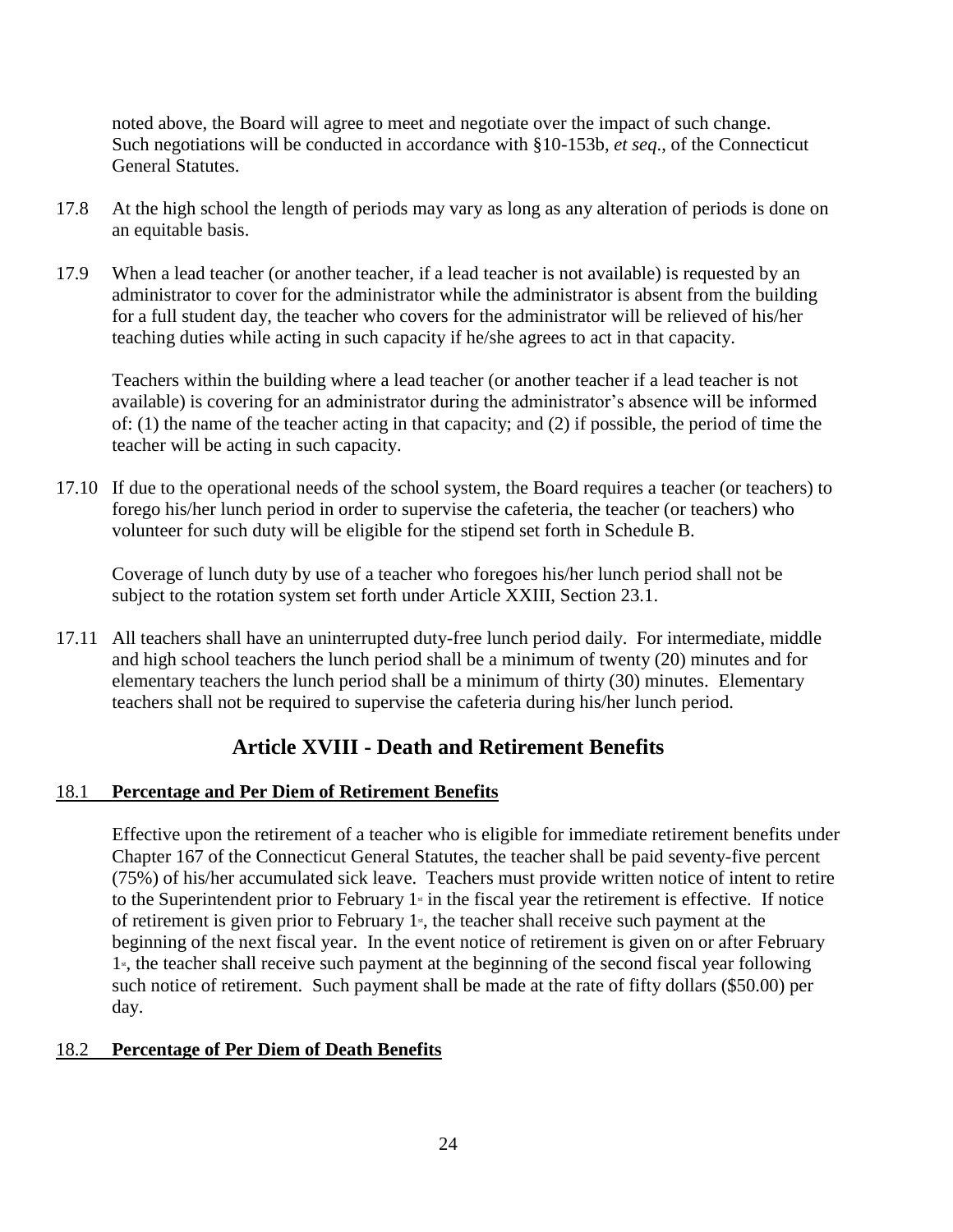noted above, the Board will agree to meet and negotiate over the impact of such change. Such negotiations will be conducted in accordance with §10-153b, *et seq*., of the Connecticut General Statutes.

- 17.8 At the high school the length of periods may vary as long as any alteration of periods is done on an equitable basis.
- 17.9 When a lead teacher (or another teacher, if a lead teacher is not available) is requested by an administrator to cover for the administrator while the administrator is absent from the building for a full student day, the teacher who covers for the administrator will be relieved of his/her teaching duties while acting in such capacity if he/she agrees to act in that capacity.

Teachers within the building where a lead teacher (or another teacher if a lead teacher is not available) is covering for an administrator during the administrator's absence will be informed of: (1) the name of the teacher acting in that capacity; and (2) if possible, the period of time the teacher will be acting in such capacity.

17.10 If due to the operational needs of the school system, the Board requires a teacher (or teachers) to forego his/her lunch period in order to supervise the cafeteria, the teacher (or teachers) who volunteer for such duty will be eligible for the stipend set forth in Schedule B.

Coverage of lunch duty by use of a teacher who foregoes his/her lunch period shall not be subject to the rotation system set forth under Article XXIII, Section 23.1.

17.11 All teachers shall have an uninterrupted duty-free lunch period daily. For intermediate, middle and high school teachers the lunch period shall be a minimum of twenty (20) minutes and for elementary teachers the lunch period shall be a minimum of thirty (30) minutes. Elementary teachers shall not be required to supervise the cafeteria during his/her lunch period.

### **Article XVIII - Death and Retirement Benefits**

### <span id="page-23-1"></span><span id="page-23-0"></span>18.1 **Percentage and Per Diem of Retirement Benefits**

Effective upon the retirement of a teacher who is eligible for immediate retirement benefits under Chapter 167 of the Connecticut General Statutes, the teacher shall be paid seventy-five percent (75%) of his/her accumulated sick leave. Teachers must provide written notice of intent to retire to the Superintendent prior to February  $1$ <sup>s</sup> in the fiscal year the retirement is effective. If notice of retirement is given prior to February  $1<sup>s</sup>$ , the teacher shall receive such payment at the beginning of the next fiscal year. In the event notice of retirement is given on or after February  $1<sup>s</sup>$ , the teacher shall receive such payment at the beginning of the second fiscal year following such notice of retirement. Such payment shall be made at the rate of fifty dollars (\$50.00) per day.

#### <span id="page-23-2"></span>18.2 **Percentage of Per Diem of Death Benefits**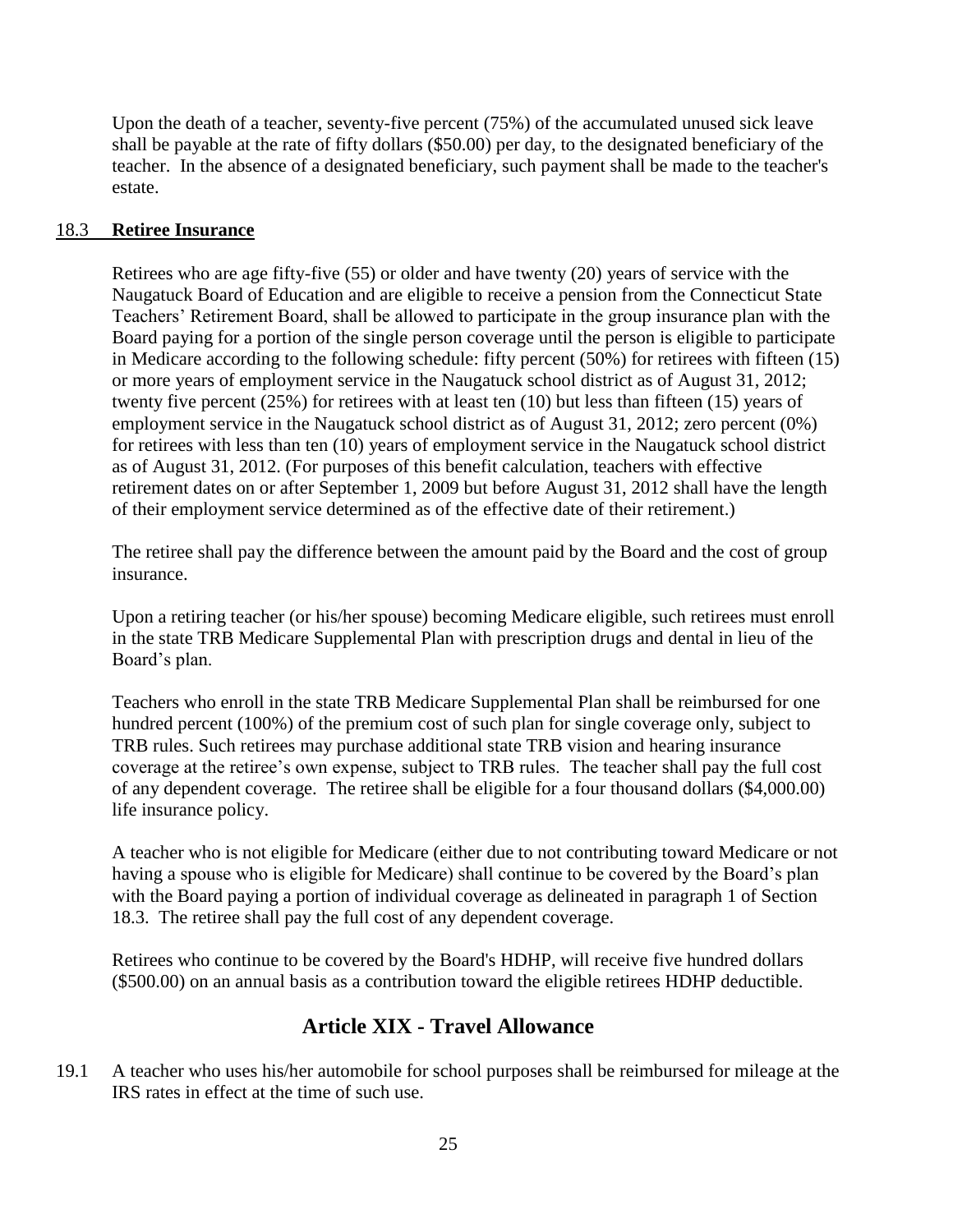Upon the death of a teacher, seventy-five percent (75%) of the accumulated unused sick leave shall be payable at the rate of fifty dollars (\$50.00) per day, to the designated beneficiary of the teacher. In the absence of a designated beneficiary, such payment shall be made to the teacher's estate.

#### <span id="page-24-0"></span>18.3 **Retiree Insurance**

Retirees who are age fifty-five (55) or older and have twenty (20) years of service with the Naugatuck Board of Education and are eligible to receive a pension from the Connecticut State Teachers' Retirement Board, shall be allowed to participate in the group insurance plan with the Board paying for a portion of the single person coverage until the person is eligible to participate in Medicare according to the following schedule: fifty percent (50%) for retirees with fifteen (15) or more years of employment service in the Naugatuck school district as of August 31, 2012; twenty five percent (25%) for retirees with at least ten (10) but less than fifteen (15) years of employment service in the Naugatuck school district as of August 31, 2012; zero percent (0%) for retirees with less than ten (10) years of employment service in the Naugatuck school district as of August 31, 2012. (For purposes of this benefit calculation, teachers with effective retirement dates on or after September 1, 2009 but before August 31, 2012 shall have the length of their employment service determined as of the effective date of their retirement.)

The retiree shall pay the difference between the amount paid by the Board and the cost of group insurance.

Upon a retiring teacher (or his/her spouse) becoming Medicare eligible, such retirees must enroll in the state TRB Medicare Supplemental Plan with prescription drugs and dental in lieu of the Board's plan.

Teachers who enroll in the state TRB Medicare Supplemental Plan shall be reimbursed for one hundred percent (100%) of the premium cost of such plan for single coverage only, subject to TRB rules. Such retirees may purchase additional state TRB vision and hearing insurance coverage at the retiree's own expense, subject to TRB rules. The teacher shall pay the full cost of any dependent coverage. The retiree shall be eligible for a four thousand dollars (\$4,000.00) life insurance policy.

A teacher who is not eligible for Medicare (either due to not contributing toward Medicare or not having a spouse who is eligible for Medicare) shall continue to be covered by the Board's plan with the Board paying a portion of individual coverage as delineated in paragraph 1 of Section 18.3. The retiree shall pay the full cost of any dependent coverage.

<span id="page-24-1"></span>Retirees who continue to be covered by the Board's HDHP, will receive five hundred dollars (\$500.00) on an annual basis as a contribution toward the eligible retirees HDHP deductible.

### **Article XIX - Travel Allowance**

19.1 A teacher who uses his/her automobile for school purposes shall be reimbursed for mileage at the IRS rates in effect at the time of such use.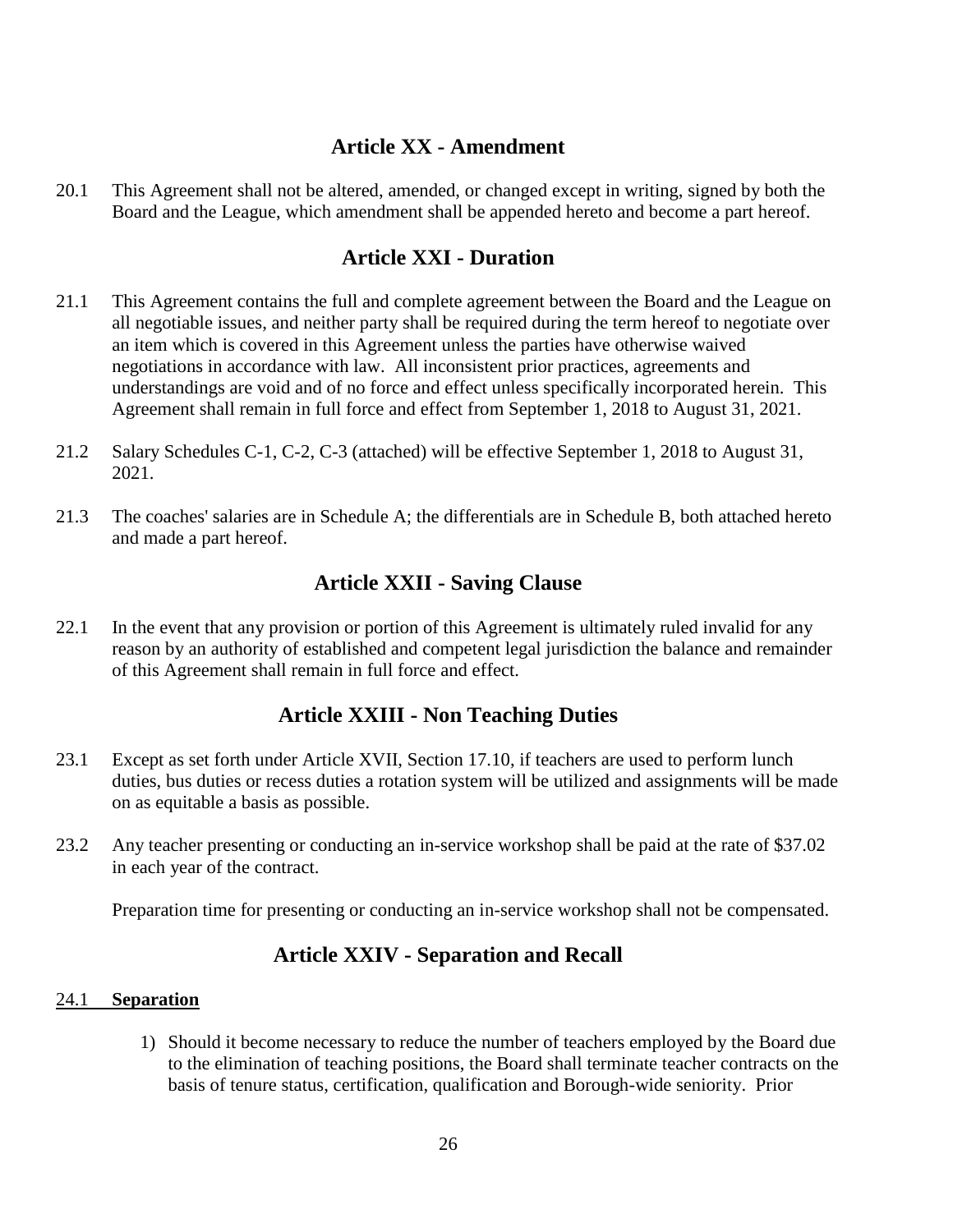### **Article XX - Amendment**

<span id="page-25-0"></span>20.1 This Agreement shall not be altered, amended, or changed except in writing, signed by both the Board and the League, which amendment shall be appended hereto and become a part hereof.

### **Article XXI - Duration**

- <span id="page-25-1"></span>21.1 This Agreement contains the full and complete agreement between the Board and the League on all negotiable issues, and neither party shall be required during the term hereof to negotiate over an item which is covered in this Agreement unless the parties have otherwise waived negotiations in accordance with law. All inconsistent prior practices, agreements and understandings are void and of no force and effect unless specifically incorporated herein. This Agreement shall remain in full force and effect from September 1, 2018 to August 31, 2021.
- 21.2 Salary Schedules C-1, C-2, C-3 (attached) will be effective September 1, 2018 to August 31, 2021.
- 21.3 The coaches' salaries are in Schedule A; the differentials are in Schedule B, both attached hereto and made a part hereof.

### **Article XXII - Saving Clause**

<span id="page-25-2"></span>22.1 In the event that any provision or portion of this Agreement is ultimately ruled invalid for any reason by an authority of established and competent legal jurisdiction the balance and remainder of this Agreement shall remain in full force and effect.

### **Article XXIII - Non Teaching Duties**

- <span id="page-25-3"></span>23.1 Except as set forth under Article XVII, Section 17.10, if teachers are used to perform lunch duties, bus duties or recess duties a rotation system will be utilized and assignments will be made on as equitable a basis as possible.
- 23.2 Any teacher presenting or conducting an in-service workshop shall be paid at the rate of \$37.02 in each year of the contract.

<span id="page-25-4"></span>Preparation time for presenting or conducting an in-service workshop shall not be compensated.

### **Article XXIV - Separation and Recall**

#### <span id="page-25-5"></span>24.1 **Separation**

1) Should it become necessary to reduce the number of teachers employed by the Board due to the elimination of teaching positions, the Board shall terminate teacher contracts on the basis of tenure status, certification, qualification and Borough-wide seniority. Prior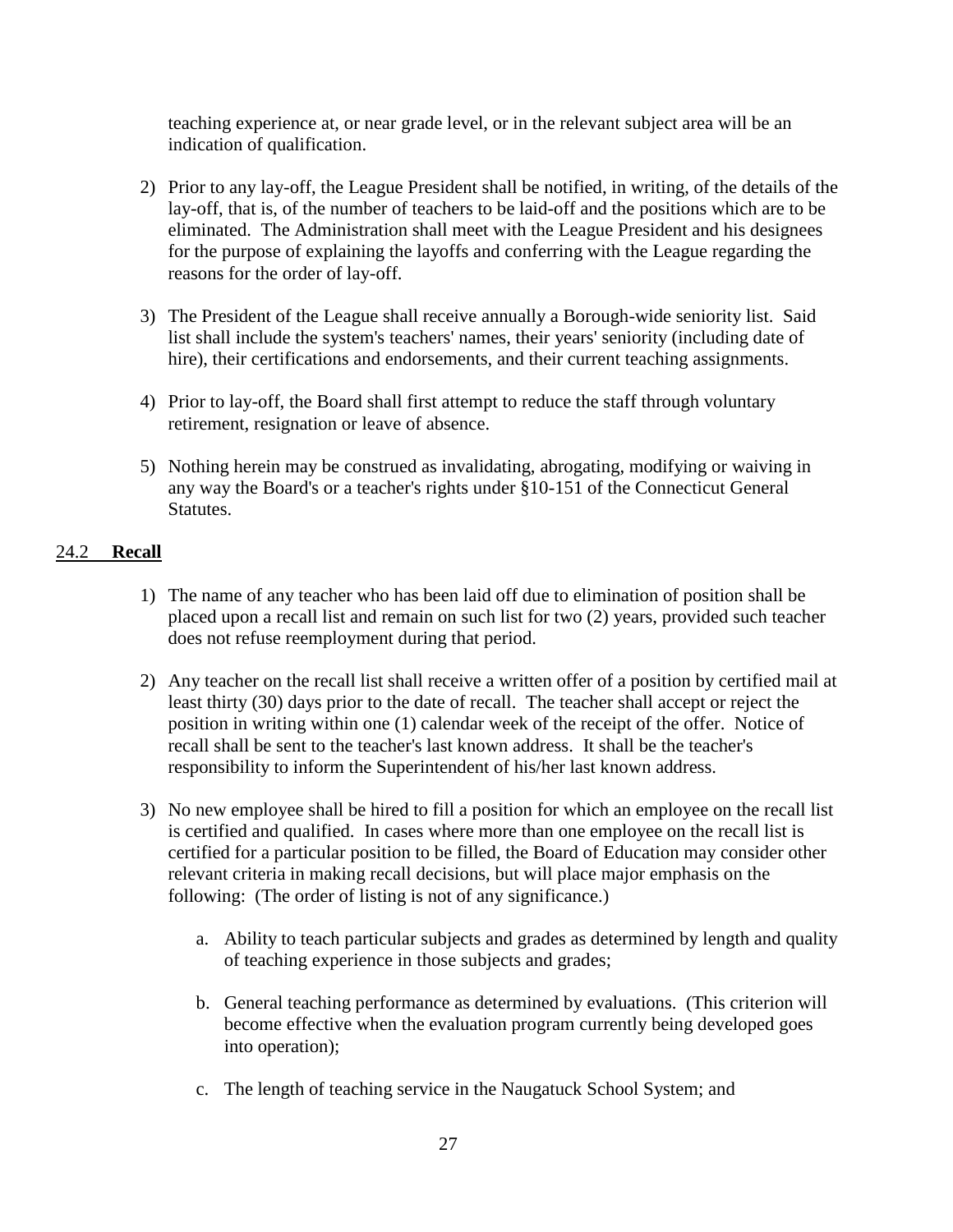teaching experience at, or near grade level, or in the relevant subject area will be an indication of qualification.

- 2) Prior to any lay-off, the League President shall be notified, in writing, of the details of the lay-off, that is, of the number of teachers to be laid-off and the positions which are to be eliminated. The Administration shall meet with the League President and his designees for the purpose of explaining the layoffs and conferring with the League regarding the reasons for the order of lay-off.
- 3) The President of the League shall receive annually a Borough-wide seniority list. Said list shall include the system's teachers' names, their years' seniority (including date of hire), their certifications and endorsements, and their current teaching assignments.
- 4) Prior to lay-off, the Board shall first attempt to reduce the staff through voluntary retirement, resignation or leave of absence.
- 5) Nothing herein may be construed as invalidating, abrogating, modifying or waiving in any way the Board's or a teacher's rights under §10-151 of the Connecticut General Statutes.

#### <span id="page-26-0"></span>24.2 **Recall**

- 1) The name of any teacher who has been laid off due to elimination of position shall be placed upon a recall list and remain on such list for two (2) years, provided such teacher does not refuse reemployment during that period.
- 2) Any teacher on the recall list shall receive a written offer of a position by certified mail at least thirty (30) days prior to the date of recall. The teacher shall accept or reject the position in writing within one (1) calendar week of the receipt of the offer. Notice of recall shall be sent to the teacher's last known address. It shall be the teacher's responsibility to inform the Superintendent of his/her last known address.
- 3) No new employee shall be hired to fill a position for which an employee on the recall list is certified and qualified. In cases where more than one employee on the recall list is certified for a particular position to be filled, the Board of Education may consider other relevant criteria in making recall decisions, but will place major emphasis on the following: (The order of listing is not of any significance.)
	- a. Ability to teach particular subjects and grades as determined by length and quality of teaching experience in those subjects and grades;
	- b. General teaching performance as determined by evaluations. (This criterion will become effective when the evaluation program currently being developed goes into operation);
	- c. The length of teaching service in the Naugatuck School System; and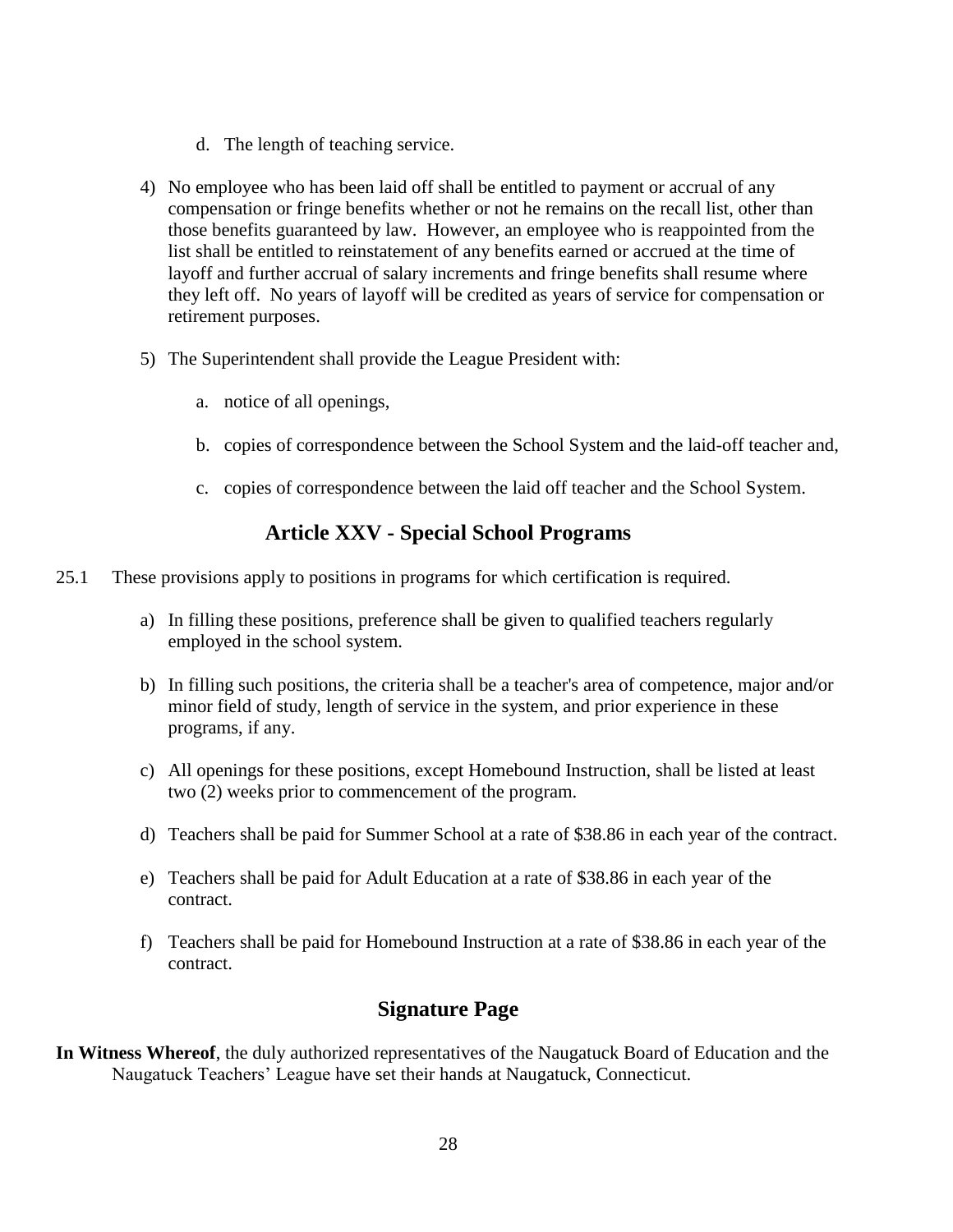- d. The length of teaching service.
- 4) No employee who has been laid off shall be entitled to payment or accrual of any compensation or fringe benefits whether or not he remains on the recall list, other than those benefits guaranteed by law. However, an employee who is reappointed from the list shall be entitled to reinstatement of any benefits earned or accrued at the time of layoff and further accrual of salary increments and fringe benefits shall resume where they left off. No years of layoff will be credited as years of service for compensation or retirement purposes.
- 5) The Superintendent shall provide the League President with:
	- a. notice of all openings,
	- b. copies of correspondence between the School System and the laid-off teacher and,
	- c. copies of correspondence between the laid off teacher and the School System.

### **Article XXV - Special School Programs**

- <span id="page-27-0"></span>25.1 These provisions apply to positions in programs for which certification is required.
	- a) In filling these positions, preference shall be given to qualified teachers regularly employed in the school system.
	- b) In filling such positions, the criteria shall be a teacher's area of competence, major and/or minor field of study, length of service in the system, and prior experience in these programs, if any.
	- c) All openings for these positions, except Homebound Instruction, shall be listed at least two (2) weeks prior to commencement of the program.
	- d) Teachers shall be paid for Summer School at a rate of \$38.86 in each year of the contract.
	- e) Teachers shall be paid for Adult Education at a rate of \$38.86 in each year of the contract.
	- f) Teachers shall be paid for Homebound Instruction at a rate of \$38.86 in each year of the contract.

### **Signature Page**

<span id="page-27-1"></span>**In Witness Whereof**, the duly authorized representatives of the Naugatuck Board of Education and the Naugatuck Teachers' League have set their hands at Naugatuck, Connecticut.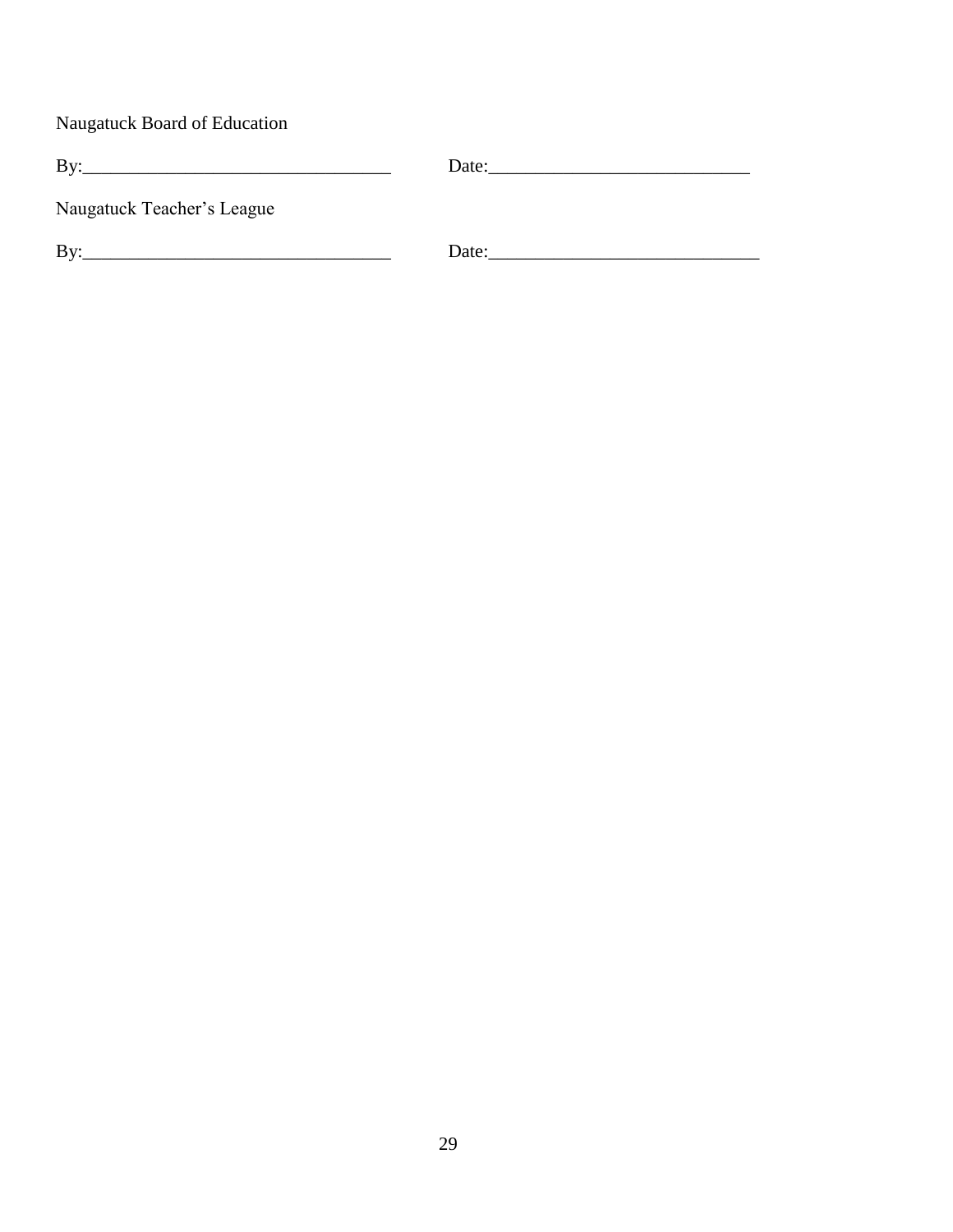Naugatuck Board of Education

| Bv                         | Date: |
|----------------------------|-------|
| Naugatuck Teacher's League |       |
| Bv:                        | Date: |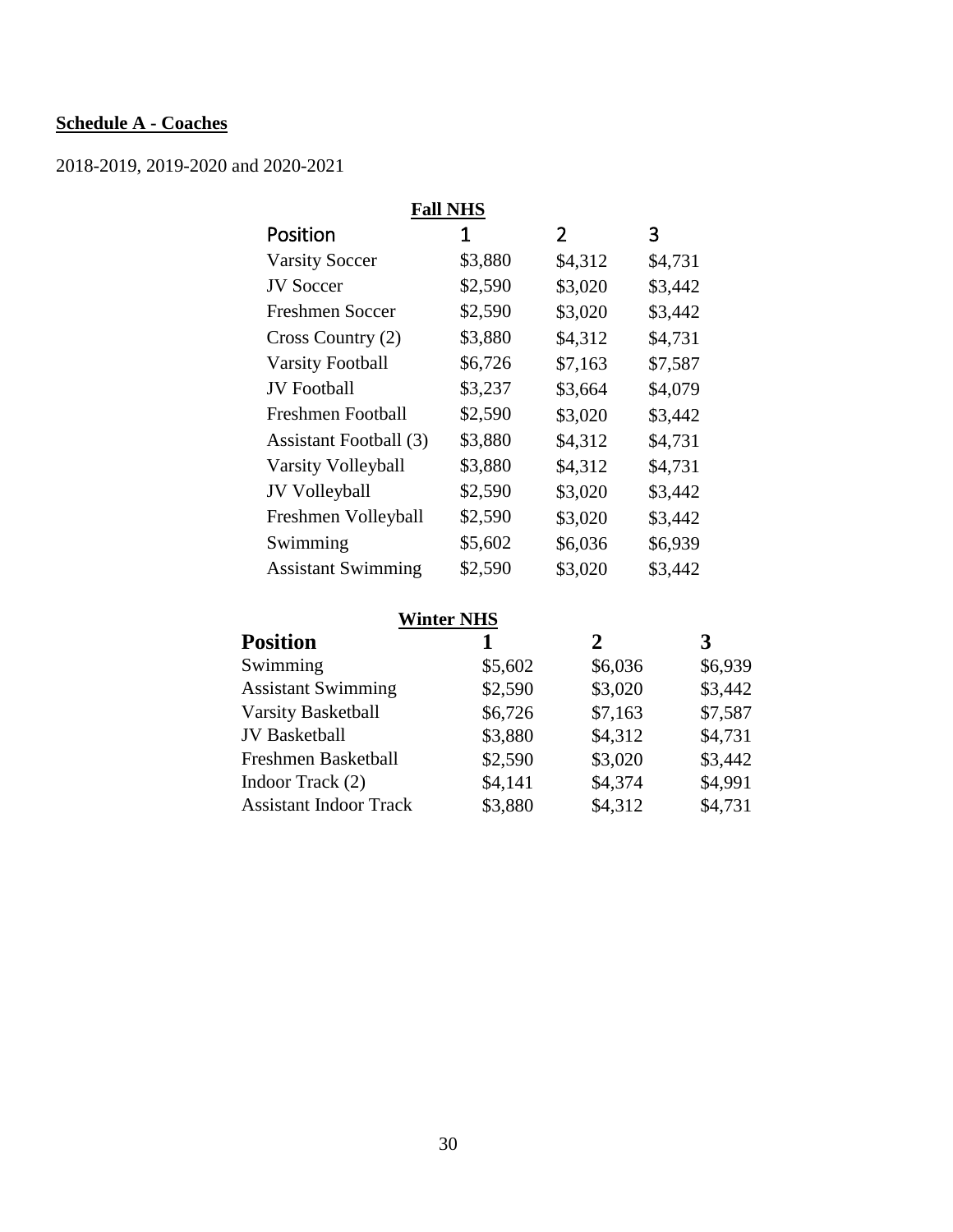### <span id="page-29-0"></span>**Schedule A - Coaches**

2018-2019, 2019-2020 and 2020-2021

| <b>Fall NHS</b>           |         |                |         |
|---------------------------|---------|----------------|---------|
| Position                  | 1       | $\overline{2}$ | 3       |
| <b>Varsity Soccer</b>     | \$3,880 | \$4,312        | \$4,731 |
| <b>JV Soccer</b>          | \$2,590 | \$3,020        | \$3,442 |
| <b>Freshmen Soccer</b>    | \$2,590 | \$3,020        | \$3,442 |
| Cross Country (2)         | \$3,880 | \$4,312        | \$4,731 |
| <b>Varsity Football</b>   | \$6,726 | \$7,163        | \$7,587 |
| <b>JV</b> Football        | \$3,237 | \$3,664        | \$4,079 |
| <b>Freshmen Football</b>  | \$2,590 | \$3,020        | \$3,442 |
| Assistant Football (3)    | \$3,880 | \$4,312        | \$4,731 |
| Varsity Volleyball        | \$3,880 | \$4,312        | \$4,731 |
| JV Volleyball             | \$2,590 | \$3,020        | \$3,442 |
| Freshmen Volleyball       | \$2,590 | \$3,020        | \$3,442 |
| Swimming                  | \$5,602 | \$6,036        | \$6,939 |
| <b>Assistant Swimming</b> | \$2,590 | \$3,020        | \$3,442 |

### **Winter NHS**

| <b>Position</b>               |         | 2       | 3       |
|-------------------------------|---------|---------|---------|
| Swimming                      | \$5,602 | \$6,036 | \$6,939 |
| <b>Assistant Swimming</b>     | \$2,590 | \$3,020 | \$3,442 |
| <b>Varsity Basketball</b>     | \$6,726 | \$7,163 | \$7,587 |
| <b>JV</b> Basketball          | \$3,880 | \$4,312 | \$4,731 |
| Freshmen Basketball           | \$2,590 | \$3,020 | \$3,442 |
| Indoor Track (2)              | \$4,141 | \$4,374 | \$4,991 |
| <b>Assistant Indoor Track</b> | \$3,880 | \$4,312 | \$4,731 |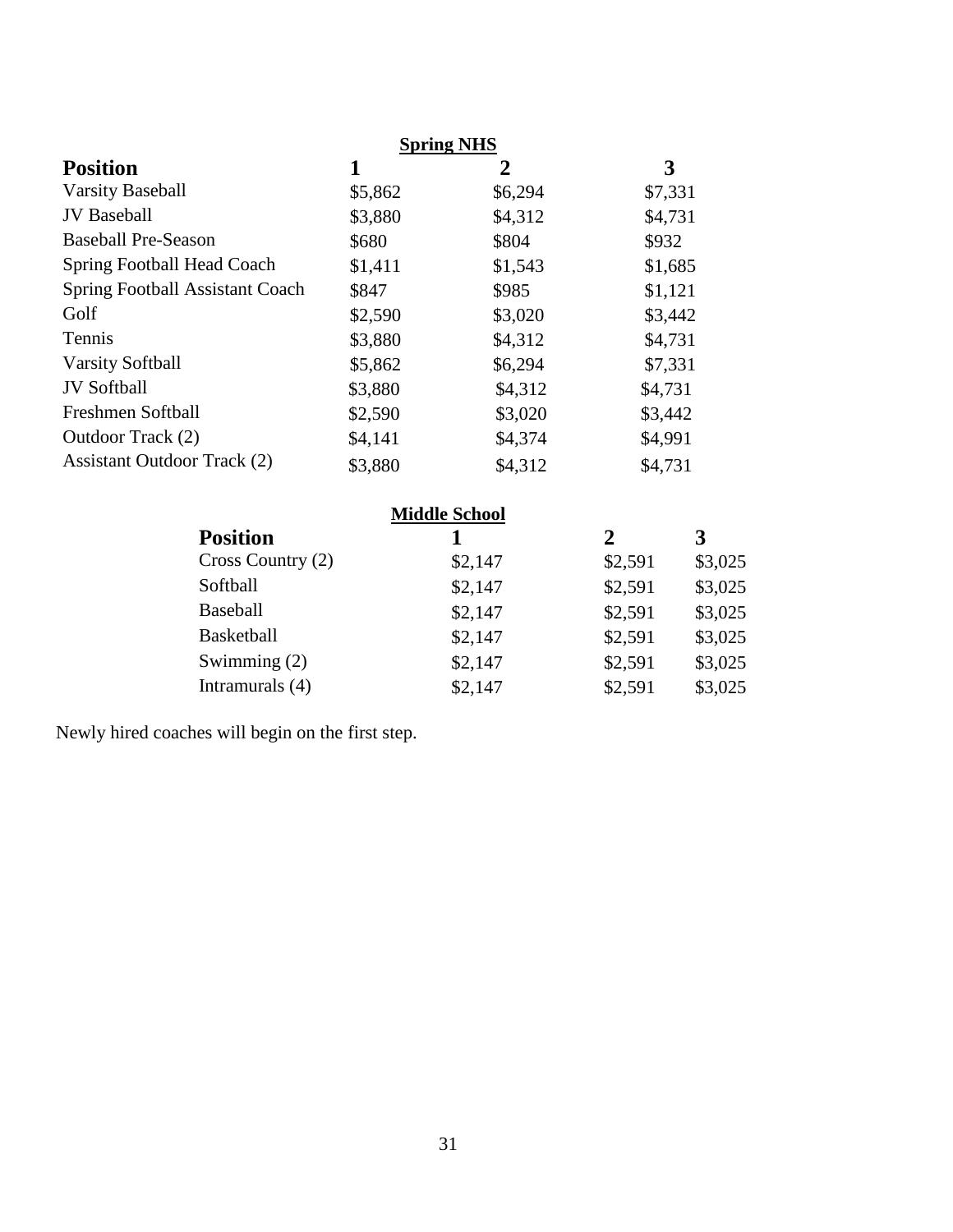|                                        | <b>Spring NHS</b> |         |         |  |
|----------------------------------------|-------------------|---------|---------|--|
| <b>Position</b>                        | 1                 | 2       | 3       |  |
| <b>Varsity Baseball</b>                | \$5,862           | \$6,294 | \$7,331 |  |
| <b>JV</b> Baseball                     | \$3,880           | \$4,312 | \$4,731 |  |
| <b>Baseball Pre-Season</b>             | \$680             | \$804   | \$932   |  |
| Spring Football Head Coach             | \$1,411           | \$1,543 | \$1,685 |  |
| <b>Spring Football Assistant Coach</b> | \$847             | \$985   | \$1,121 |  |
| Golf                                   | \$2,590           | \$3,020 | \$3,442 |  |
| Tennis                                 | \$3,880           | \$4,312 | \$4,731 |  |
| <b>Varsity Softball</b>                | \$5,862           | \$6,294 | \$7,331 |  |
| <b>JV</b> Softball                     | \$3,880           | \$4,312 | \$4,731 |  |
| Freshmen Softball                      | \$2,590           | \$3,020 | \$3,442 |  |
| Outdoor Track (2)                      | \$4,141           | \$4,374 | \$4,991 |  |
| <b>Assistant Outdoor Track (2)</b>     | \$3,880           | \$4,312 | \$4,731 |  |

| <b>Middle School</b> |         |         |         |  |  |
|----------------------|---------|---------|---------|--|--|
| <b>Position</b>      |         | 2       | 3       |  |  |
| Cross Country (2)    | \$2,147 | \$2,591 | \$3,025 |  |  |
| Softball             | \$2,147 | \$2,591 | \$3,025 |  |  |
| <b>Baseball</b>      | \$2,147 | \$2,591 | \$3,025 |  |  |
| <b>Basketball</b>    | \$2,147 | \$2,591 | \$3,025 |  |  |
| Swimming $(2)$       | \$2,147 | \$2,591 | \$3,025 |  |  |
| Intramurals (4)      | \$2,147 | \$2,591 | \$3,025 |  |  |

Newly hired coaches will begin on the first step.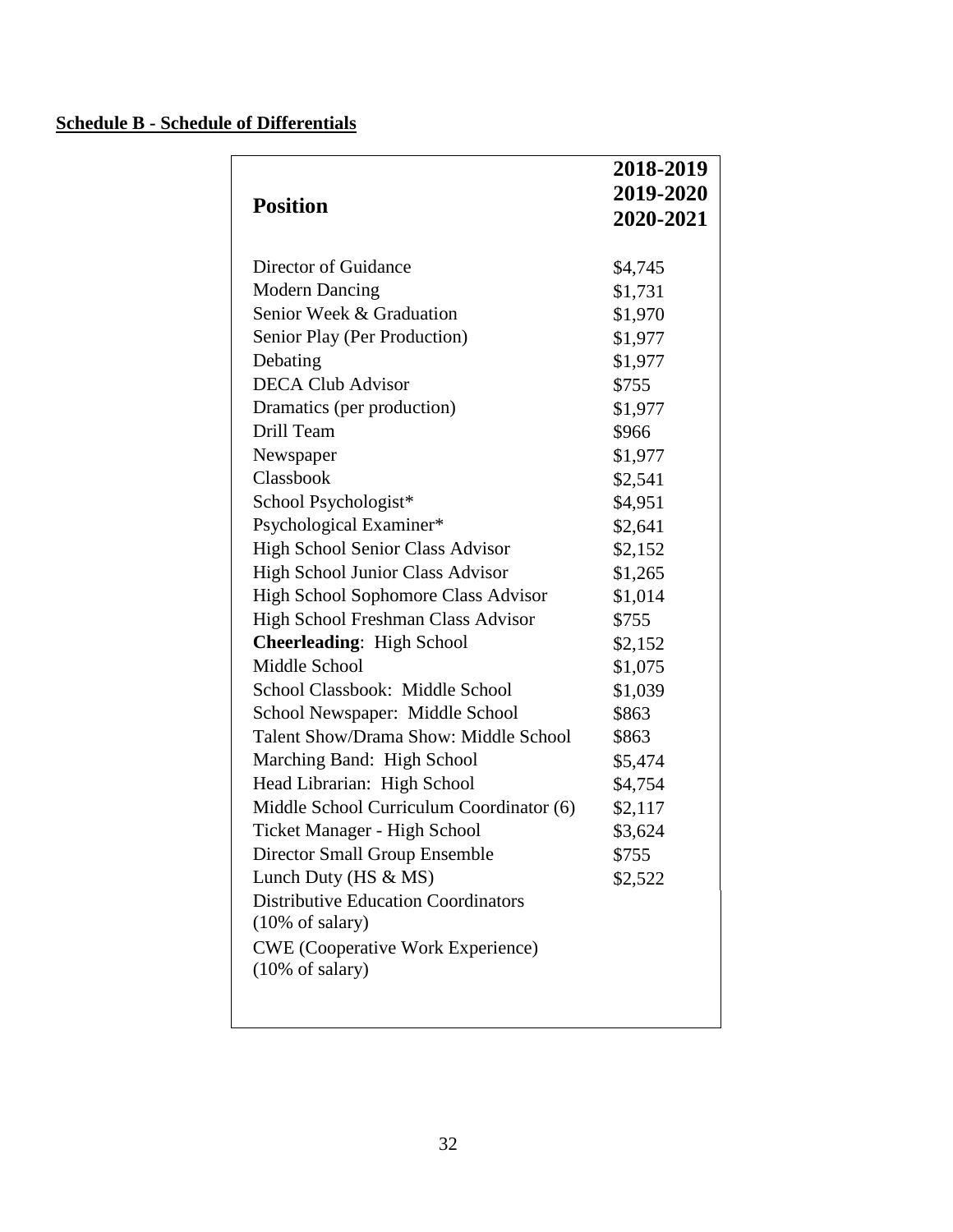### <span id="page-31-0"></span>**Schedule B - Schedule of Differentials**

|                                              | 2018-2019 |
|----------------------------------------------|-----------|
|                                              | 2019-2020 |
| <b>Position</b>                              | 2020-2021 |
|                                              |           |
| Director of Guidance                         | \$4,745   |
| <b>Modern Dancing</b>                        | \$1,731   |
| Senior Week & Graduation                     | \$1,970   |
| Senior Play (Per Production)                 | \$1,977   |
| Debating                                     | \$1,977   |
| <b>DECA Club Advisor</b>                     | \$755     |
| Dramatics (per production)                   | \$1,977   |
| Drill Team                                   | \$966     |
| Newspaper                                    | \$1,977   |
| Classbook                                    | \$2,541   |
| School Psychologist*                         | \$4,951   |
| Psychological Examiner*                      | \$2,641   |
| High School Senior Class Advisor             | \$2,152   |
| <b>High School Junior Class Advisor</b>      | \$1,265   |
| High School Sophomore Class Advisor          | \$1,014   |
| High School Freshman Class Advisor           | \$755     |
| <b>Cheerleading: High School</b>             | \$2,152   |
| Middle School                                | \$1,075   |
| School Classbook: Middle School              | \$1,039   |
| School Newspaper: Middle School              | \$863     |
| <b>Talent Show/Drama Show: Middle School</b> | \$863     |
| Marching Band: High School                   | \$5,474   |
| Head Librarian: High School                  | \$4,754   |
| Middle School Curriculum Coordinator (6)     | \$2,117   |
| Ticket Manager - High School                 | \$3,624   |
| <b>Director Small Group Ensemble</b>         | \$755     |
| Lunch Duty ( $HS & MS$ )                     | \$2,522   |
| <b>Distributive Education Coordinators</b>   |           |
| $(10\% \text{ of salary})$                   |           |
| <b>CWE</b> (Cooperative Work Experience)     |           |
| $(10\% \text{ of salary})$                   |           |
|                                              |           |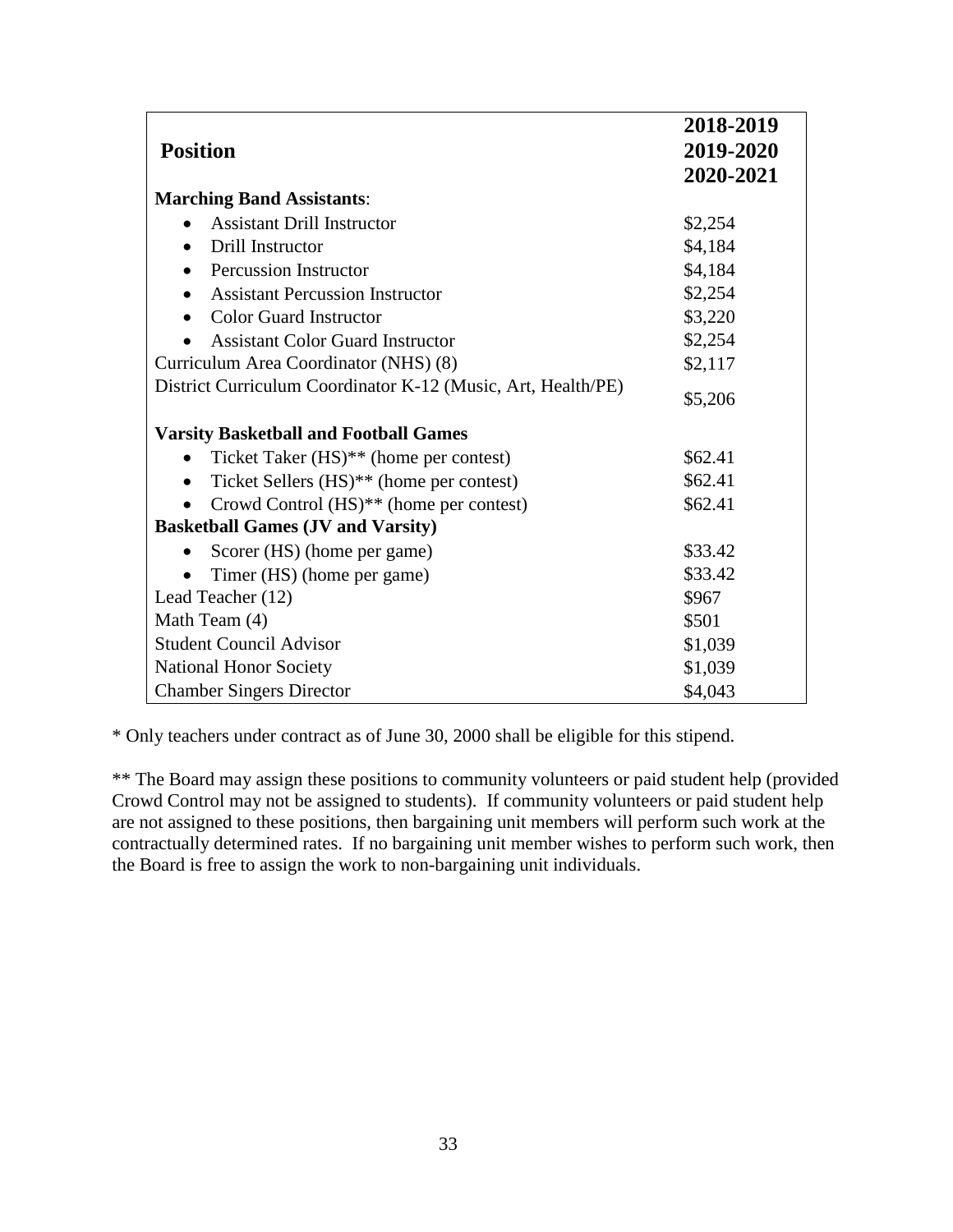|                                                              | 2018-2019 |
|--------------------------------------------------------------|-----------|
| <b>Position</b>                                              | 2019-2020 |
|                                                              | 2020-2021 |
| <b>Marching Band Assistants:</b>                             |           |
| <b>Assistant Drill Instructor</b>                            | \$2,254   |
| Drill Instructor                                             | \$4,184   |
| <b>Percussion Instructor</b>                                 | \$4,184   |
| <b>Assistant Percussion Instructor</b>                       | \$2,254   |
| <b>Color Guard Instructor</b>                                | \$3,220   |
| <b>Assistant Color Guard Instructor</b>                      | \$2,254   |
| Curriculum Area Coordinator (NHS) (8)                        | \$2,117   |
| District Curriculum Coordinator K-12 (Music, Art, Health/PE) | \$5,206   |
| <b>Varsity Basketball and Football Games</b>                 |           |
| Ticket Taker $(HS)**$ (home per contest)                     | \$62.41   |
| Ticket Sellers (HS)** (home per contest)                     | \$62.41   |
| Crowd Control (HS) <sup>**</sup> (home per contest)          | \$62.41   |
| <b>Basketball Games (JV and Varsity)</b>                     |           |
| Scorer (HS) (home per game)                                  | \$33.42   |
| Timer (HS) (home per game)                                   | \$33.42   |
| Lead Teacher (12)                                            | \$967     |
| Math Team (4)                                                | \$501     |
| <b>Student Council Advisor</b>                               | \$1,039   |
| <b>National Honor Society</b>                                | \$1,039   |
| <b>Chamber Singers Director</b>                              | \$4,043   |

\* Only teachers under contract as of June 30, 2000 shall be eligible for this stipend.

\*\* The Board may assign these positions to community volunteers or paid student help (provided Crowd Control may not be assigned to students). If community volunteers or paid student help are not assigned to these positions, then bargaining unit members will perform such work at the contractually determined rates. If no bargaining unit member wishes to perform such work, then the Board is free to assign the work to non-bargaining unit individuals.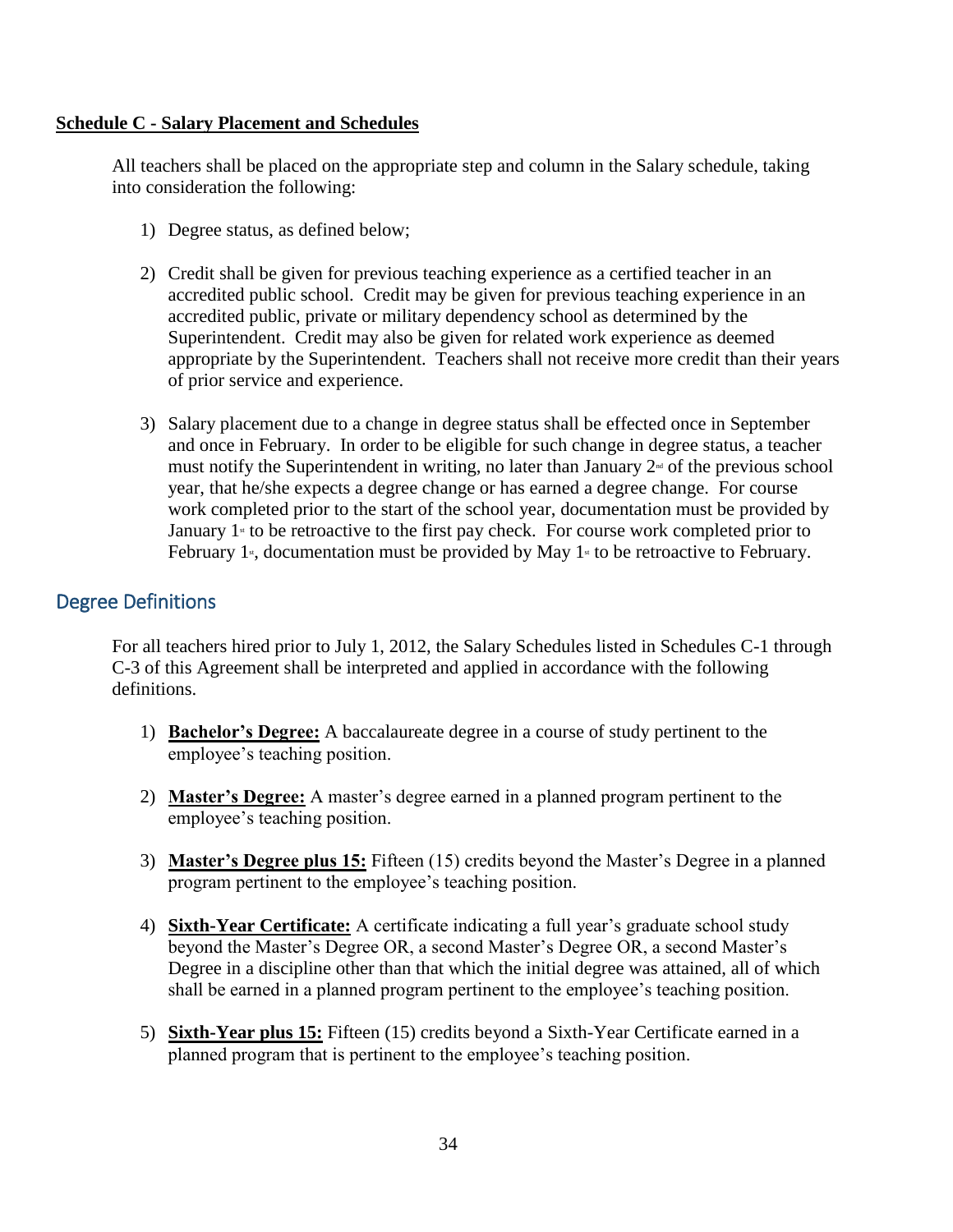#### <span id="page-33-0"></span>**Schedule C - Salary Placement and Schedules**

All teachers shall be placed on the appropriate step and column in the Salary schedule, taking into consideration the following:

- 1) Degree status, as defined below;
- 2) Credit shall be given for previous teaching experience as a certified teacher in an accredited public school. Credit may be given for previous teaching experience in an accredited public, private or military dependency school as determined by the Superintendent. Credit may also be given for related work experience as deemed appropriate by the Superintendent. Teachers shall not receive more credit than their years of prior service and experience.
- 3) Salary placement due to a change in degree status shall be effected once in September and once in February. In order to be eligible for such change in degree status, a teacher must notify the Superintendent in writing, no later than January  $2<sup>nd</sup>$  of the previous school year, that he/she expects a degree change or has earned a degree change. For course work completed prior to the start of the school year, documentation must be provided by January  $1$ <sup>st</sup> to be retroactive to the first pay check. For course work completed prior to February 1<sup>st</sup>, documentation must be provided by May 1<sup>st</sup> to be retroactive to February.

### Degree Definitions

For all teachers hired prior to July 1, 2012, the Salary Schedules listed in Schedules C-1 through C-3 of this Agreement shall be interpreted and applied in accordance with the following definitions.

- 1) **Bachelor's Degree:** A baccalaureate degree in a course of study pertinent to the employee's teaching position.
- 2) **Master's Degree:** A master's degree earned in a planned program pertinent to the employee's teaching position.
- 3) **Master's Degree plus 15:** Fifteen (15) credits beyond the Master's Degree in a planned program pertinent to the employee's teaching position.
- 4) **Sixth-Year Certificate:** A certificate indicating a full year's graduate school study beyond the Master's Degree OR, a second Master's Degree OR, a second Master's Degree in a discipline other than that which the initial degree was attained, all of which shall be earned in a planned program pertinent to the employee's teaching position.
- 5) **Sixth-Year plus 15:** Fifteen (15) credits beyond a Sixth-Year Certificate earned in a planned program that is pertinent to the employee's teaching position.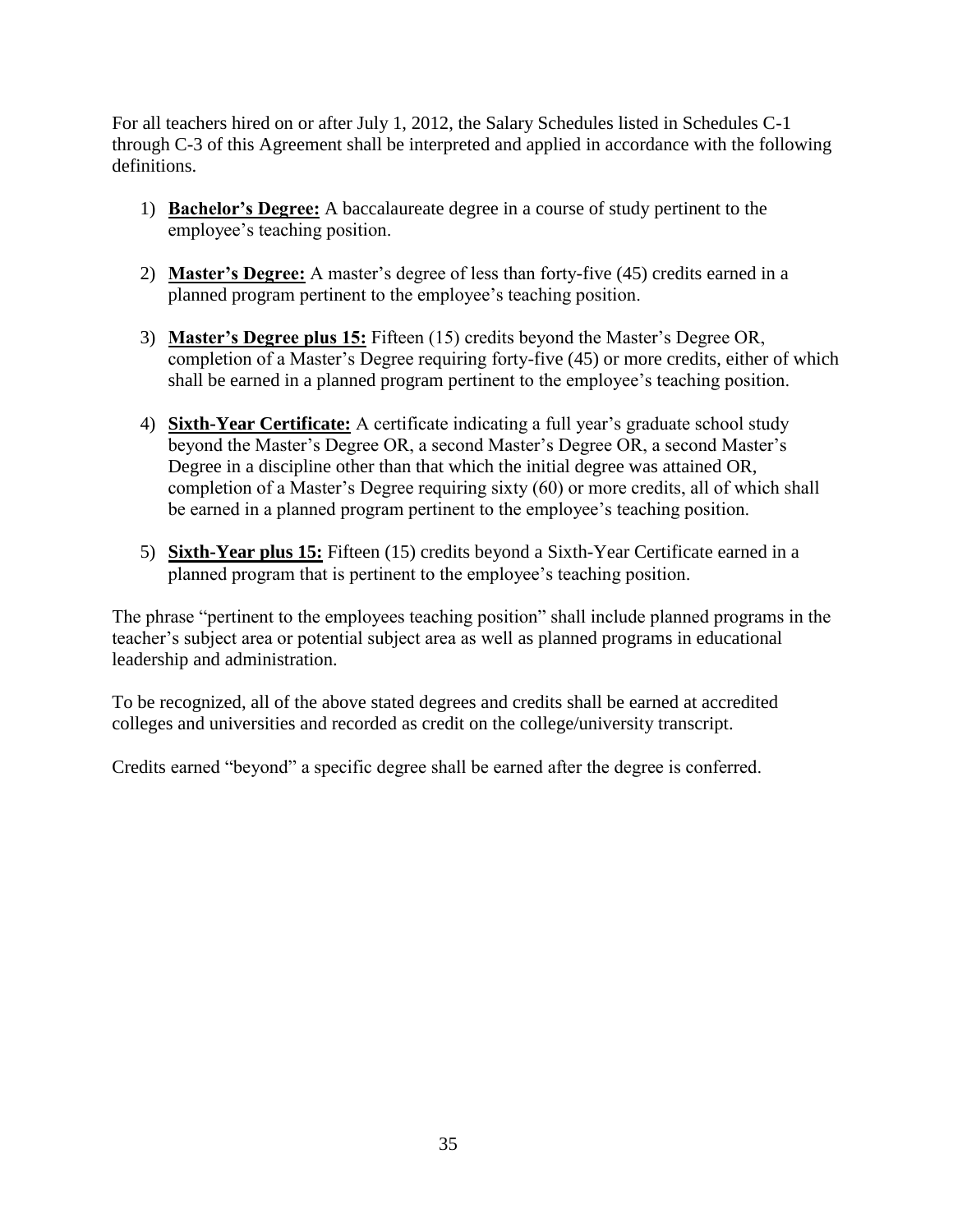For all teachers hired on or after July 1, 2012, the Salary Schedules listed in Schedules C-1 through C-3 of this Agreement shall be interpreted and applied in accordance with the following definitions.

- 1) **Bachelor's Degree:** A baccalaureate degree in a course of study pertinent to the employee's teaching position.
- 2) **Master's Degree:** A master's degree of less than forty-five (45) credits earned in a planned program pertinent to the employee's teaching position.
- 3) **Master's Degree plus 15:** Fifteen (15) credits beyond the Master's Degree OR, completion of a Master's Degree requiring forty-five (45) or more credits, either of which shall be earned in a planned program pertinent to the employee's teaching position.
- 4) **Sixth-Year Certificate:** A certificate indicating a full year's graduate school study beyond the Master's Degree OR, a second Master's Degree OR, a second Master's Degree in a discipline other than that which the initial degree was attained OR, completion of a Master's Degree requiring sixty (60) or more credits, all of which shall be earned in a planned program pertinent to the employee's teaching position.
- 5) **Sixth-Year plus 15:** Fifteen (15) credits beyond a Sixth-Year Certificate earned in a planned program that is pertinent to the employee's teaching position.

The phrase "pertinent to the employees teaching position" shall include planned programs in the teacher's subject area or potential subject area as well as planned programs in educational leadership and administration.

To be recognized, all of the above stated degrees and credits shall be earned at accredited colleges and universities and recorded as credit on the college/university transcript.

Credits earned "beyond" a specific degree shall be earned after the degree is conferred.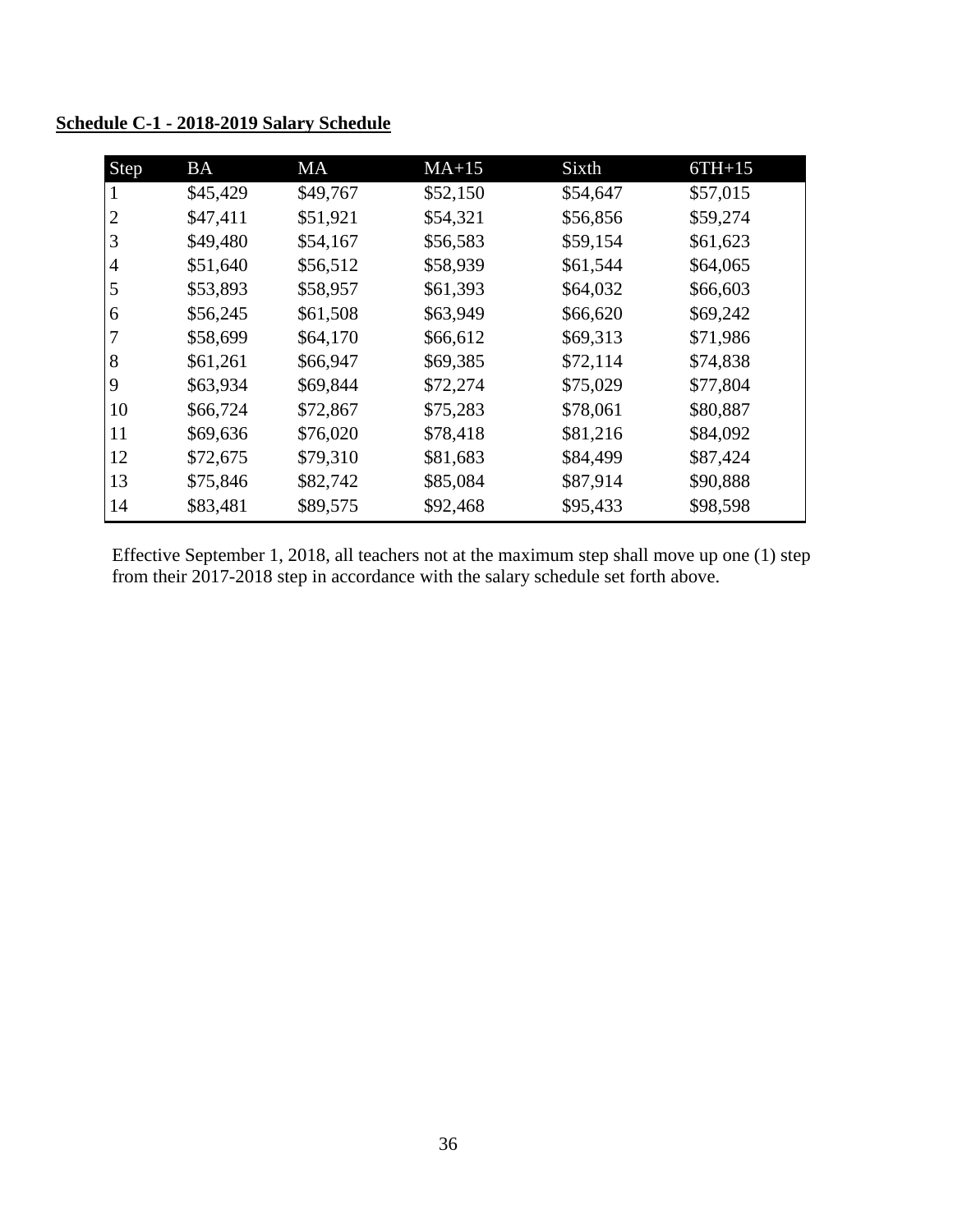| Step           | <b>BA</b> | <b>MA</b> | $MA+15$  | Sixth    | $6TH+15$ |
|----------------|-----------|-----------|----------|----------|----------|
| 1              | \$45,429  | \$49,767  | \$52,150 | \$54,647 | \$57,015 |
| $\overline{2}$ | \$47,411  | \$51,921  | \$54,321 | \$56,856 | \$59,274 |
| 3              | \$49,480  | \$54,167  | \$56,583 | \$59,154 | \$61,623 |
| 4              | \$51,640  | \$56,512  | \$58,939 | \$61,544 | \$64,065 |
| 5              | \$53,893  | \$58,957  | \$61,393 | \$64,032 | \$66,603 |
| 6              | \$56,245  | \$61,508  | \$63,949 | \$66,620 | \$69,242 |
|                | \$58,699  | \$64,170  | \$66,612 | \$69,313 | \$71,986 |
| 8              | \$61,261  | \$66,947  | \$69,385 | \$72,114 | \$74,838 |
| 9              | \$63,934  | \$69,844  | \$72,274 | \$75,029 | \$77,804 |
| 10             | \$66,724  | \$72,867  | \$75,283 | \$78,061 | \$80,887 |
| 11             | \$69,636  | \$76,020  | \$78,418 | \$81,216 | \$84,092 |
| 12             | \$72,675  | \$79,310  | \$81,683 | \$84,499 | \$87,424 |
| 13             | \$75,846  | \$82,742  | \$85,084 | \$87,914 | \$90,888 |
| 14             | \$83,481  | \$89,575  | \$92,468 | \$95,433 | \$98,598 |

<span id="page-35-0"></span>**Schedule C-1 - 2018-2019 Salary Schedule**

Effective September 1, 2018, all teachers not at the maximum step shall move up one (1) step from their 2017-2018 step in accordance with the salary schedule set forth above.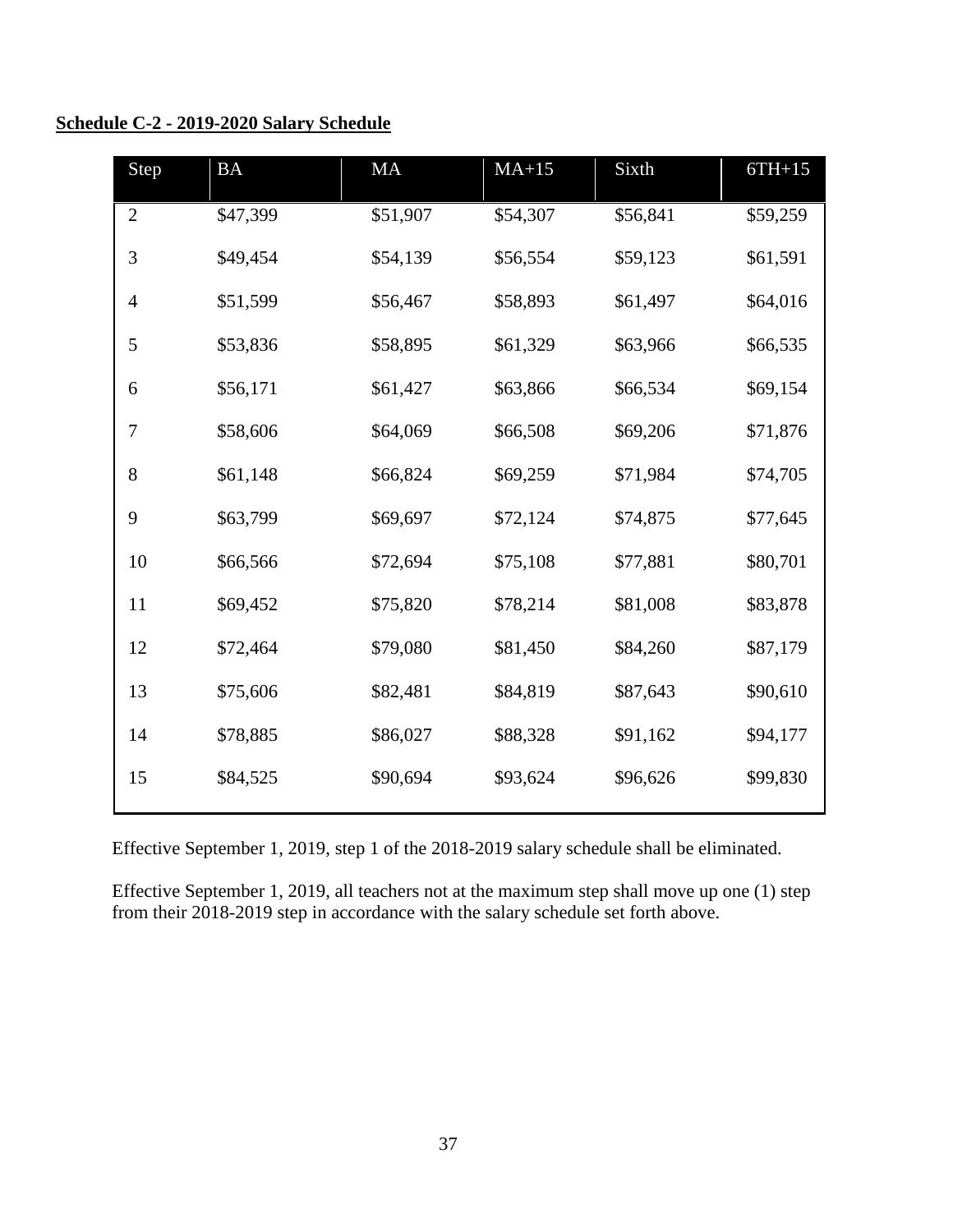#### <span id="page-36-0"></span>**Schedule C-2 - 2019-2020 Salary Schedule**

| Step           | <b>BA</b> | <b>MA</b> | $MA+15$  | Sixth    | $6TH+15$ |
|----------------|-----------|-----------|----------|----------|----------|
| $\mathbf{2}$   | \$47,399  | \$51,907  | \$54,307 | \$56,841 | \$59,259 |
| 3              | \$49,454  | \$54,139  | \$56,554 | \$59,123 | \$61,591 |
| $\overline{4}$ | \$51,599  | \$56,467  | \$58,893 | \$61,497 | \$64,016 |
| 5              | \$53,836  | \$58,895  | \$61,329 | \$63,966 | \$66,535 |
| 6              | \$56,171  | \$61,427  | \$63,866 | \$66,534 | \$69,154 |
| 7              | \$58,606  | \$64,069  | \$66,508 | \$69,206 | \$71,876 |
| $8\,$          | \$61,148  | \$66,824  | \$69,259 | \$71,984 | \$74,705 |
| 9              | \$63,799  | \$69,697  | \$72,124 | \$74,875 | \$77,645 |
| 10             | \$66,566  | \$72,694  | \$75,108 | \$77,881 | \$80,701 |
| 11             | \$69,452  | \$75,820  | \$78,214 | \$81,008 | \$83,878 |
| 12             | \$72,464  | \$79,080  | \$81,450 | \$84,260 | \$87,179 |
| 13             | \$75,606  | \$82,481  | \$84,819 | \$87,643 | \$90,610 |
| 14             | \$78,885  | \$86,027  | \$88,328 | \$91,162 | \$94,177 |
| 15             | \$84,525  | \$90,694  | \$93,624 | \$96,626 | \$99,830 |

Effective September 1, 2019, step 1 of the 2018-2019 salary schedule shall be eliminated.

Effective September 1, 2019, all teachers not at the maximum step shall move up one (1) step from their 2018-2019 step in accordance with the salary schedule set forth above.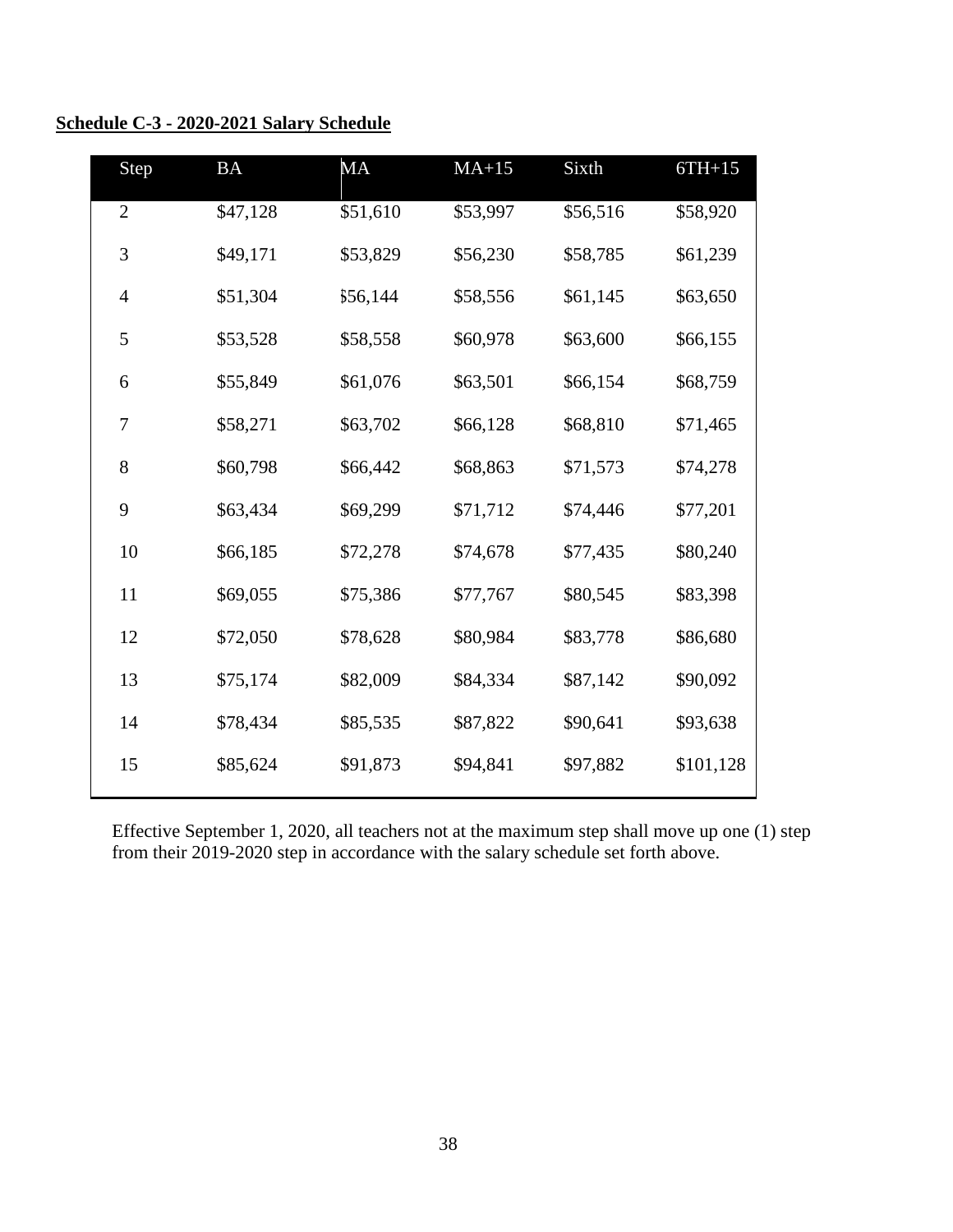<span id="page-37-0"></span>

|  | Schedule C-3 - 2020-2021 Salary Schedule |  |
|--|------------------------------------------|--|
|  |                                          |  |

| Step           | <b>BA</b> | <b>MA</b> | $MA+15$  | Sixth    | $6TH+15$  |
|----------------|-----------|-----------|----------|----------|-----------|
| $\overline{2}$ | \$47,128  | \$51,610  | \$53,997 | \$56,516 | \$58,920  |
| 3              | \$49,171  | \$53,829  | \$56,230 | \$58,785 | \$61,239  |
| $\overline{4}$ | \$51,304  | \$56,144  | \$58,556 | \$61,145 | \$63,650  |
| 5              | \$53,528  | \$58,558  | \$60,978 | \$63,600 | \$66,155  |
| 6              | \$55,849  | \$61,076  | \$63,501 | \$66,154 | \$68,759  |
| 7              | \$58,271  | \$63,702  | \$66,128 | \$68,810 | \$71,465  |
| 8              | \$60,798  | \$66,442  | \$68,863 | \$71,573 | \$74,278  |
| 9              | \$63,434  | \$69,299  | \$71,712 | \$74,446 | \$77,201  |
| 10             | \$66,185  | \$72,278  | \$74,678 | \$77,435 | \$80,240  |
| 11             | \$69,055  | \$75,386  | \$77,767 | \$80,545 | \$83,398  |
| 12             | \$72,050  | \$78,628  | \$80,984 | \$83,778 | \$86,680  |
| 13             | \$75,174  | \$82,009  | \$84,334 | \$87,142 | \$90,092  |
| 14             | \$78,434  | \$85,535  | \$87,822 | \$90,641 | \$93,638  |
| 15             | \$85,624  | \$91,873  | \$94,841 | \$97,882 | \$101,128 |
|                |           |           |          |          |           |

Effective September 1, 2020, all teachers not at the maximum step shall move up one (1) step from their 2019-2020 step in accordance with the salary schedule set forth above.